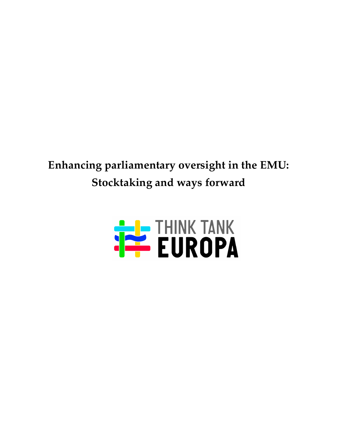# **Enhancing parliamentary oversight in the EMU: Stocktaking and ways forward**

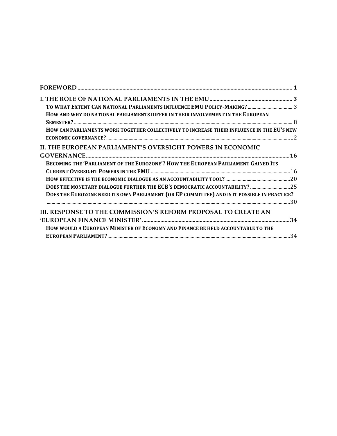| HOW CAN PARLIAMENTS WORK TOGETHER COLLECTIVELY TO INCREASE THEIR INFLUENCE IN THE EU'S NEW  |
|---------------------------------------------------------------------------------------------|
|                                                                                             |
|                                                                                             |
|                                                                                             |
|                                                                                             |
|                                                                                             |
|                                                                                             |
| DOES THE MONETARY DIALOGUE FURTHER THE ECB'S DEMOCRATIC ACCOUNTABILITY? 25                  |
| DOES THE EUROZONE NEED ITS OWN PARLIAMENT (OR EP COMMITTEE) AND IS IT POSSIBLE IN PRACTICE? |
|                                                                                             |
|                                                                                             |
|                                                                                             |
|                                                                                             |
|                                                                                             |
|                                                                                             |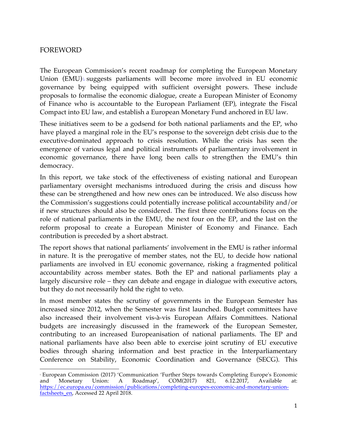# FOREWORD

 

The European Commission's recent roadmap for completing the European Monetary Union  $(EMU)$ <sup> $\perp$ </sup> suggests parliaments will become more involved in EU economic governance by being equipped with sufficient oversight powers. These include proposals to formalise the economic dialogue, create a European Minister of Economy of Finance who is accountable to the European Parliament (EP), integrate the Fiscal Compact into EU law, and establish a European Monetary Fund anchored in EU law.

These initiatives seem to be a godsend for both national parliaments and the EP, who have played a marginal role in the EU's response to the sovereign debt crisis due to the executive-dominated approach to crisis resolution. While the crisis has seen the emergence of various legal and political instruments of parliamentary involvement in economic governance, there have long been calls to strengthen the EMU's thin democracy.

In this report, we take stock of the effectiveness of existing national and European parliamentary oversight mechanisms introduced during the crisis and discuss how these can be strengthened and how new ones can be introduced. We also discuss how the Commission's suggestions could potentially increase political accountability and/or if new structures should also be considered. The first three contributions focus on the role of national parliaments in the EMU, the next four on the EP, and the last on the reform proposal to create a European Minister of Economy and Finance. Each contribution is preceded by a short abstract.

The report shows that national parliaments' involvement in the EMU is rather informal in nature. It is the prerogative of member states, not the EU, to decide how national parliaments are involved in EU economic governance, risking a fragmented political accountability across member states. Both the EP and national parliaments play a largely discursive role – they can debate and engage in dialogue with executive actors, but they do not necessarily hold the right to veto.

In most member states the scrutiny of governments in the European Semester has increased since 2012, when the Semester was first launched. Budget committees have also increased their involvement vis-à-vis European Affairs Committees. National budgets are increasingly discussed in the framework of the European Semester, contributing to an increased Europeanisation of national parliaments. The EP and national parliaments have also been able to exercise joint scrutiny of EU executive bodies through sharing information and best practice in the Interparliamentary Conference on Stability, Economic Coordination and Governance (SECG). This

<sup>1</sup> European Commission (2017) 'Communication 'Further Steps towards Completing Europe's Economic and Monetary Union: A Roadmap', COM(2017) 821, 6.12.2017, Available at: https://ec.europa.eu/commission/publications/completing-europes-economic-and-monetary-unionfactsheets\_en, Accessed 22 April 2018.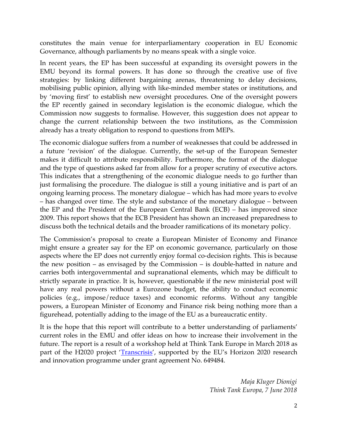constitutes the main venue for interparliamentary cooperation in EU Economic Governance, although parliaments by no means speak with a single voice.

In recent years, the EP has been successful at expanding its oversight powers in the EMU beyond its formal powers. It has done so through the creative use of five strategies: by linking different bargaining arenas, threatening to delay decisions, mobilising public opinion, allying with like-minded member states or institutions, and by 'moving first' to establish new oversight procedures. One of the oversight powers the EP recently gained in secondary legislation is the economic dialogue, which the Commission now suggests to formalise. However, this suggestion does not appear to change the current relationship between the two institutions, as the Commission already has a treaty obligation to respond to questions from MEPs.

The economic dialogue suffers from a number of weaknesses that could be addressed in a future 'revision' of the dialogue. Currently, the set-up of the European Semester makes it difficult to attribute responsibility. Furthermore, the format of the dialogue and the type of questions asked far from allow for a proper scrutiny of executive actors. This indicates that a strengthening of the economic dialogue needs to go further than just formalising the procedure. The dialogue is still a young initiative and is part of an ongoing learning process. The monetary dialogue – which has had more years to evolve – has changed over time. The style and substance of the monetary dialogue – between the EP and the President of the European Central Bank (ECB) – has improved since 2009. This report shows that the ECB President has shown an increased preparedness to discuss both the technical details and the broader ramifications of its monetary policy.

The Commission's proposal to create a European Minister of Economy and Finance might ensure a greater say for the EP on economic governance, particularly on those aspects where the EP does not currently enjoy formal co-decision rights. This is because the new position – as envisaged by the Commission – is double-hatted in nature and carries both intergovernmental and supranational elements, which may be difficult to strictly separate in practice. It is, however, questionable if the new ministerial post will have any real powers without a Eurozone budget, the ability to conduct economic policies (e.g., impose/reduce taxes) and economic reforms. Without any tangible powers, a European Minister of Economy and Finance risk being nothing more than a figurehead, potentially adding to the image of the EU as a bureaucratic entity.

It is the hope that this report will contribute to a better understanding of parliaments' current roles in the EMU and offer ideas on how to increase their involvement in the future. The report is a result of a workshop held at Think Tank Europe in March 2018 as part of the H2020 project '*Transcrisis'*, supported by the EU's Horizon 2020 research and innovation programme under grant agreement No. 649484.

> *Maja Kluger Dionigi Think Tank Europa, 7 June 2018*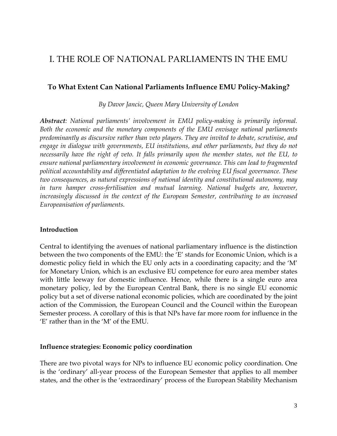# I. THE ROLE OF NATIONAL PARLIAMENTS IN THE EMU

# **To What Extent Can National Parliaments Influence EMU Policy-Making?**

*By Davor Jancic, Queen Mary University of London*

*Abstract: National parliaments' involvement in EMU policy-making is primarily informal. Both the economic and the monetary components of the EMU envisage national parliaments predominantly as discursive rather than veto players. They are invited to debate, scrutinise, and engage in dialogue with governments, EU institutions, and other parliaments, but they do not necessarily have the right of veto. It falls primarily upon the member states, not the EU, to ensure national parliamentary involvement in economic governance. This can lead to fragmented political accountability and differentiated adaptation to the evolving EU fiscal governance. These two consequences, as natural expressions of national identity and constitutional autonomy, may in turn hamper cross-fertilisation and mutual learning. National budgets are, however, increasingly discussed in the context of the European Semester, contributing to an increased Europeanisation of parliaments.*

#### **Introduction**

Central to identifying the avenues of national parliamentary influence is the distinction between the two components of the EMU: the 'E' stands for Economic Union, which is a domestic policy field in which the EU only acts in a coordinating capacity; and the 'M' for Monetary Union, which is an exclusive EU competence for euro area member states with little leeway for domestic influence. Hence, while there is a single euro area monetary policy, led by the European Central Bank, there is no single EU economic policy but a set of diverse national economic policies, which are coordinated by the joint action of the Commission, the European Council and the Council within the European Semester process. A corollary of this is that NPs have far more room for influence in the 'E' rather than in the 'M' of the EMU.

#### **Influence strategies: Economic policy coordination**

There are two pivotal ways for NPs to influence EU economic policy coordination. One is the 'ordinary' all-year process of the European Semester that applies to all member states, and the other is the 'extraordinary' process of the European Stability Mechanism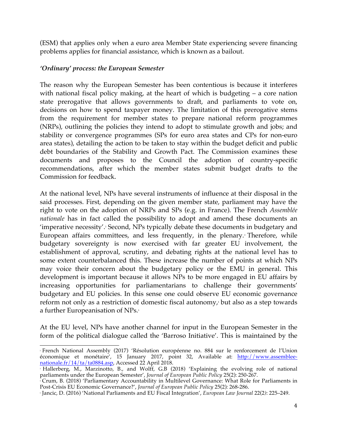(ESM) that applies only when a euro area Member State experiencing severe financing problems applies for financial assistance, which is known as a bailout.

# *'Ordinary' process: the European Semester*

The reason why the European Semester has been contentious is because it interferes with national fiscal policy making, at the heart of which is budgeting – a core nation state prerogative that allows governments to draft, and parliaments to vote on, decisions on how to spend taxpayer money. The limitation of this prerogative stems from the requirement for member states to prepare national reform programmes (NRPs), outlining the policies they intend to adopt to stimulate growth and jobs; and stability or convergence programmes (SPs for euro area states and CPs for non-euro area states), detailing the action to be taken to stay within the budget deficit and public debt boundaries of the Stability and Growth Pact. The Commission examines these documents and proposes to the Council the adoption of country-specific recommendations, after which the member states submit budget drafts to the Commission for feedback.

At the national level, NPs have several instruments of influence at their disposal in the said processes. First, depending on the given member state, parliament may have the right to vote on the adoption of NRPs and SPs (e.g. in France). The French *Assemblée nationale* has in fact called the possibility to adopt and amend these documents an 'imperative necessity'. <sup>2</sup> Second, NPs typically debate these documents in budgetary and European affairs committees, and less frequently, in the plenary.<sup>3</sup> Therefore, while budgetary sovereignty is now exercised with far greater EU involvement, the establishment of approval, scrutiny, and debating rights at the national level has to some extent counterbalanced this. These increase the number of points at which NPs may voice their concern about the budgetary policy or the EMU in general. This development is important because it allows NPs to be more engaged in EU affairs by increasing opportunities for parliamentarians to challenge their governments' budgetary and EU policies. In this sense one could observe EU economic governance reform not only as a restriction of domestic fiscal autonomy, $*$  but also as a step towards a further Europeanisation of NPs.<sup>5</sup>

At the EU level, NPs have another channel for input in the European Semester in the form of the political dialogue called the 'Barroso Initiative'. This is maintained by the

 <sup>2</sup> French National Assembly (2017) 'Résolution européenne no. 884 sur le renforcement de l'Union économique et monétaire', 15 January 2017, point 32, Available at: http://www.assembleenationale.fr/14/ta/ta0884.asp, Accessed 22 April 2018.

<sup>3</sup> Hallerberg, M., Marzinotto, B., and Wolff, G.B (2018) 'Explaining the evolving role of national parliaments under the European Semester', *Journal of European Public Policy* 25(2): 250-267.

<sup>4</sup> Crum, B. (2018) 'Parliamentary Accountability in Multilevel Governance: What Role for Parliaments in Post-Crisis EU Economic Governance?', *Journal of European Public Policy* 25(2)*:* 268-286.

<sup>5</sup> Jancic, D. (2016) 'National Parliaments and EU Fiscal Integration', *European Law Journal* 22(2*)*: 225–249.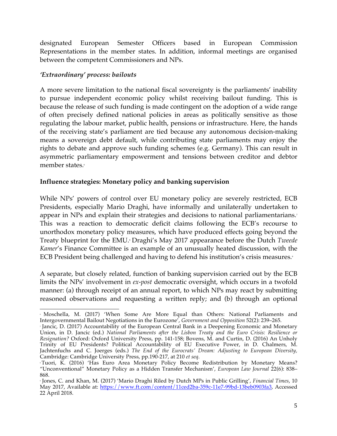designated European Semester Officers based in European Commission Representations in the member states. In addition, informal meetings are organised between the competent Commissioners and NPs.

# *'Extraordinary' process: bailouts*

A more severe limitation to the national fiscal sovereignty is the parliaments' inability to pursue independent economic policy whilst receiving bailout funding. This is because the release of such funding is made contingent on the adoption of a wide range of often precisely defined national policies in areas as politically sensitive as those regulating the labour market, public health, pensions or infrastructure. Here, the hands of the receiving state's parliament are tied because any autonomous decision-making means a sovereign debt default, while contributing state parliaments may enjoy the rights to debate and approve such funding schemes (e.g. Germany). This can result in asymmetric parliamentary empowerment and tensions between creditor and debtor member states.<sup>6</sup>

# **Influence strategies: Monetary policy and banking supervision**

While NPs' powers of control over EU monetary policy are severely restricted, ECB Presidents, especially Mario Draghi, have informally and unilaterally undertaken to appear in NPs and explain their strategies and decisions to national parliamentarians.<sup>7</sup> This was a reaction to democratic deficit claims following the ECB's recourse to unorthodox monetary policy measures, which have produced effects going beyond the Treaty blueprint for the EMU<sub>.</sub><sup>8</sup> Draghi's May 2017 appearance before the Dutch *Tweede Kamer*'s Finance Committee is an example of an unusually heated discussion, with the ECB President being challenged and having to defend his institution's crisis measures.<sup>9</sup>

A separate, but closely related, function of banking supervision carried out by the ECB limits the NPs' involvement in *ex-post* democratic oversight, which occurs in a twofold manner: (a) through receipt of an annual report, to which NPs may react by submitting reasoned observations and requesting a written reply; and (b) through an optional

 <sup>6</sup> Moschella, M. (2017) 'When Some Are More Equal than Others: National Parliaments and Intergovernmental Bailout Negotiations in the Eurozone', *Government and Opposition* 52(2): 239–265.

<sup>7</sup> Jancic, D. (2017) Accountability of the European Central Bank in a Deepening Economic and Monetary Union, in D. Jancic (ed.) *National Parliaments after the Lisbon Treaty and the Euro Crisis: Resilience or Resignation?* Oxford: Oxford University Press, pp. 141-158; Bovens, M. and Curtin, D. (2016) An Unholy Trinity of EU Presidents? Political Accountability of EU Executive Power, in D. Chalmers, M. Jachtenfuchs and C. Joerges (eds.) *The End of the Eurocrats' Dream: Adjusting to European Diversity,*  Cambridge: Cambridge University Press, pp.190-217, at 210 *et seq*.

<sup>8</sup> Tuori, K. (2016) 'Has Euro Area Monetary Policy Become Redistribution by Monetary Means? "Unconventional" Monetary Policy as a Hidden Transfer Mechanism', *European Law Journal* 22(6): 838– 868.

<sup>9</sup> Jones, C. and Khan, M. (2017) 'Mario Draghi Riled by Dutch MPs in Public Grilling', *Financial Times*, 10 May 2017, Available at: https://www.ft.com/content/11ced2ba-359c-11e7-99bd-13beb0903fa3, Accessed 22 April 2018.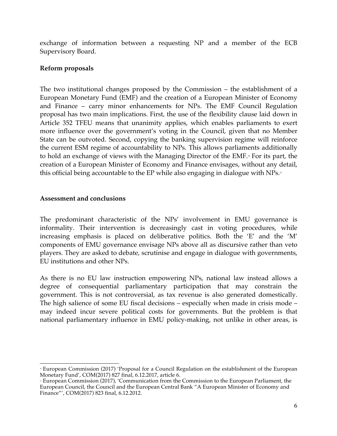exchange of information between a requesting NP and a member of the ECB Supervisory Board.

# **Reform proposals**

The two institutional changes proposed by the Commission – the establishment of a European Monetary Fund (EMF) and the creation of a European Minister of Economy and Finance – carry minor enhancements for NPs. The EMF Council Regulation proposal has two main implications. First, the use of the flexibility clause laid down in Article 352 TFEU means that unanimity applies, which enables parliaments to exert more influence over the government's voting in the Council, given that no Member State can be outvoted. Second, copying the banking supervision regime will reinforce the current ESM regime of accountability to NPs. This allows parliaments additionally to hold an exchange of views with the Managing Director of the EMF.<sup>10</sup> For its part, the creation of a European Minister of Economy and Finance envisages, without any detail, this official being accountable to the EP while also engaging in dialogue with  $NPs$ .<sup>11</sup>

# **Assessment and conclusions**

The predominant characteristic of the NPs' involvement in EMU governance is informality. Their intervention is decreasingly cast in voting procedures, while increasing emphasis is placed on deliberative politics. Both the 'E' and the 'M' components of EMU governance envisage NPs above all as discursive rather than veto players. They are asked to debate, scrutinise and engage in dialogue with governments, EU institutions and other NPs.

As there is no EU law instruction empowering NPs, national law instead allows a degree of consequential parliamentary participation that may constrain the government. This is not controversial, as tax revenue is also generated domestically. The high salience of some EU fiscal decisions – especially when made in crisis mode – may indeed incur severe political costs for governments. But the problem is that national parliamentary influence in EMU policy-making, not unlike in other areas, is

<sup>&</sup>lt;u> 1989 - Johann Stein, marwolaethau a bh</u> <sup>10</sup> European Commission (2017) 'Proposal for a Council Regulation on the establishment of the European Monetary Fund', COM(2017) 827 final, 6.12.2017, article 6.

<sup>&</sup>lt;sup>11</sup> European Commission (2017), 'Communication from the Commission to the European Parliament, the European Council, the Council and the European Central Bank "A European Minister of Economy and Finance"', COM(2017) 823 final, 6.12.2012.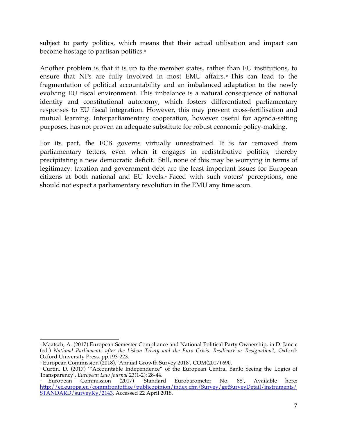subject to party politics, which means that their actual utilisation and impact can become hostage to partisan politics.<sup>12</sup>

Another problem is that it is up to the member states, rather than EU institutions, to ensure that NPs are fully involved in most EMU affairs.<sup>13</sup> This can lead to the fragmentation of political accountability and an imbalanced adaptation to the newly evolving EU fiscal environment. This imbalance is a natural consequence of national identity and constitutional autonomy, which fosters differentiated parliamentary responses to EU fiscal integration. However, this may prevent cross-fertilisation and mutual learning. Interparliamentary cooperation, however useful for agenda-setting purposes, has not proven an adequate substitute for robust economic policy-making.

For its part, the ECB governs virtually unrestrained. It is far removed from parliamentary fetters, even when it engages in redistributive politics, thereby precipitating a new democratic deficit.<sup>4</sup> Still, none of this may be worrying in terms of legitimacy: taxation and government debt are the least important issues for European citizens at both national and EU levels.15 Faced with such voters' perceptions, one should not expect a parliamentary revolution in the EMU any time soon.

<sup>&</sup>lt;u> 1989 - Johann Stein, marwolaethau a bh</u> <sup>12</sup> Maatsch, A. (2017) European Semester Compliance and National Political Party Ownership, in D. Jancic (ed.) *National Parliaments after the Lisbon Treaty and the Euro Crisis: Resilience or Resignation?*, Oxford: Oxford University Press, pp.193-223*.*

<sup>&</sup>lt;sup>13</sup> European Commission (2018), 'Annual Growth Survey 2018', COM(2017) 690.

<sup>14</sup> Curtin, D. (2017) '"Accountable Independence" of the European Central Bank: Seeing the Logics of Transparency', *European Law Journal* 23(1-2): 28-44.

<sup>15</sup> European Commission (2017) 'Standard Eurobarometer No. 88', Available here: http://ec.europa.eu/commfrontoffice/publicopinion/index.cfm/Survey/getSurveyDetail/instruments/ STANDARD/surveyKy/2143, Accessed 22 April 2018.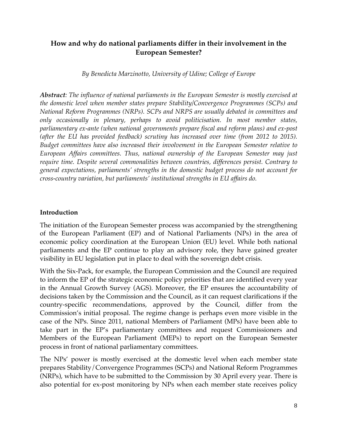# **How and why do national parliaments differ in their involvement in the European Semester?**

*By Benedicta Marzinotto, University of Udine; College of Europe*

*Abstract: The influence of national parliaments in the European Semester is mostly exercised at the domestic level when member states prepare Stability/Convergence Programmes (SCPs) and National Reform Programmes (NRPs). SCPs and NRPS are usually debated in committees and only occasionally in plenary, perhaps to avoid politicisation. In most member states, parliamentary ex-ante (when national governments prepare fiscal and reform plans) and ex-post (after the EU has provided feedback) scrutiny has increased over time (from 2012 to 2015). Budget committees have also increased their involvement in the European Semester relative to European Affairs committees. Thus, national ownership of the European Semester may just require time. Despite several commonalities between countries, differences persist. Contrary to general expectations, parliaments' strengths in the domestic budget process do not account for cross-country variation, but parliaments' institutional strengths in EU affairs do.* 

# **Introduction**

The initiation of the European Semester process was accompanied by the strengthening of the European Parliament (EP) and of National Parliaments (NPs) in the area of economic policy coordination at the European Union (EU) level. While both national parliaments and the EP continue to play an advisory role, they have gained greater visibility in EU legislation put in place to deal with the sovereign debt crisis.

With the Six-Pack, for example, the European Commission and the Council are required to inform the EP of the strategic economic policy priorities that are identified every year in the Annual Growth Survey (AGS). Moreover, the EP ensures the accountability of decisions taken by the Commission and the Council, as it can request clarifications if the country-specific recommendations, approved by the Council, differ from the Commission's initial proposal. The regime change is perhaps even more visible in the case of the NPs. Since 2011, national Members of Parliament (MPs) have been able to take part in the EP's parliamentary committees and request Commissioners and Members of the European Parliament (MEPs) to report on the European Semester process in front of national parliamentary committees.

The NPs' power is mostly exercised at the domestic level when each member state prepares Stability/Convergence Programmes (SCPs) and National Reform Programmes (NRPs), which have to be submitted to the Commission by 30 April every year. There is also potential for ex-post monitoring by NPs when each member state receives policy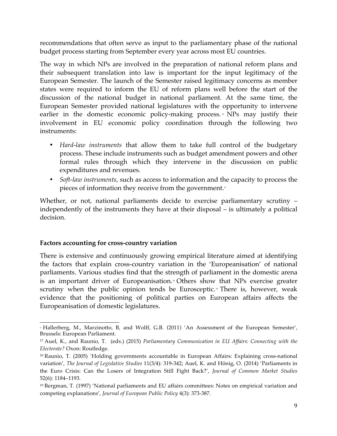recommendations that often serve as input to the parliamentary phase of the national budget process starting from September every year across most EU countries.

The way in which NPs are involved in the preparation of national reform plans and their subsequent translation into law is important for the input legitimacy of the European Semester. The launch of the Semester raised legitimacy concerns as member states were required to inform the EU of reform plans well before the start of the discussion of the national budget in national parliament. At the same time, the European Semester provided national legislatures with the opportunity to intervene earlier in the domestic economic policy-making process.<sup>®</sup> NPs may justify their involvement in EU economic policy coordination through the following two instruments:

- *Hard-law instruments* that allow them to take full control of the budgetary process. These include instruments such as budget amendment powers and other formal rules through which they intervene in the discussion on public expenditures and revenues.
- *Soft-law instruments*, such as access to information and the capacity to process the pieces of information they receive from the government.<sup>17</sup>

Whether, or not, national parliaments decide to exercise parliamentary scrutiny – independently of the instruments they have at their disposal – is ultimately a political decision.

# **Factors accounting for cross-country variation**

There is extensive and continuously growing empirical literature aimed at identifying the factors that explain cross-country variation in the 'Europeanisation' of national parliaments. Various studies find that the strength of parliament in the domestic arena is an important driver of Europeanisation.<sup>®</sup> Others show that NPs exercise greater scrutiny when the public opinion tends be Eurosceptic.<sup>®</sup> There is, however, weak evidence that the positioning of political parties on European affairs affects the Europeanisation of domestic legislatures.

 <sup>16</sup> Hallerberg, M., Marzinotto, B, and Wolff, G.B. (2011) 'An Assessment of the European Semester', Brussels: European Parliament.

<sup>17</sup> Auel, K., and Raunio, T. (eds.) (2015) *Parliamentary Communication in EU Affairs: Connecting with the Electorate?* Oxon: Routledge.

<sup>18</sup> Raunio, T. (2005) 'Holding governments accountable in European Affairs: Explaining cross-national variation', *The Journal of Legislative Studies* 11(3/4): 319-342; Auel, K. and Hönig, O. (2014) 'Parliaments in the Euro Crisis: Can the Losers of Integration Still Fight Back?', *Journal of Common Market Studies* 52(6): 1184–1193.

<sup>19</sup> Bergman, T. (1997) 'National parliaments and EU affairs committees: Notes on empirical variation and competing explanations', *Journal of European Public Policy* 4(3): 373-387.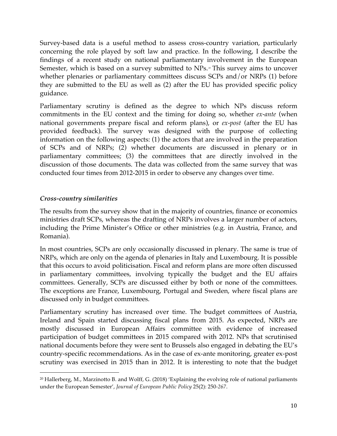Survey-based data is a useful method to assess cross-country variation, particularly concerning the role played by soft law and practice. In the following, I describe the findings of a recent study on national parliamentary involvement in the European Semester, which is based on a survey submitted to NPs.<sup>30</sup> This survey aims to uncover whether plenaries or parliamentary committees discuss SCPs and/or NRPs (1) before they are submitted to the EU as well as (2) after the EU has provided specific policy guidance.

Parliamentary scrutiny is defined as the degree to which NPs discuss reform commitments in the EU context and the timing for doing so, whether *ex-ante* (when national governments prepare fiscal and reform plans), or *ex-post* (after the EU has provided feedback). The survey was designed with the purpose of collecting information on the following aspects: (1) the actors that are involved in the preparation of SCPs and of NRPs; (2) whether documents are discussed in plenary or in parliamentary committees; (3) the committees that are directly involved in the discussion of those documents. The data was collected from the same survey that was conducted four times from 2012-2015 in order to observe any changes over time.

# *Cross-country similarities*

 

The results from the survey show that in the majority of countries, finance or economics ministries draft SCPs, whereas the drafting of NRPs involves a larger number of actors, including the Prime Minister's Office or other ministries (e.g. in Austria, France, and Romania).

In most countries, SCPs are only occasionally discussed in plenary. The same is true of NRPs, which are only on the agenda of plenaries in Italy and Luxembourg. It is possible that this occurs to avoid politicisation. Fiscal and reform plans are more often discussed in parliamentary committees, involving typically the budget and the EU affairs committees. Generally, SCPs are discussed either by both or none of the committees. The exceptions are France, Luxembourg, Portugal and Sweden, where fiscal plans are discussed only in budget committees.

Parliamentary scrutiny has increased over time. The budget committees of Austria, Ireland and Spain started discussing fiscal plans from 2015. As expected, NRPs are mostly discussed in European Affairs committee with evidence of increased participation of budget committees in 2015 compared with 2012. NPs that scrutinised national documents before they were sent to Brussels also engaged in debating the EU's country-specific recommendations. As in the case of ex-ante monitoring, greater ex-post scrutiny was exercised in 2015 than in 2012. It is interesting to note that the budget

<sup>20</sup> Hallerberg, M., Marzinotto B. and Wolff, G. (2018) 'Explaining the evolving role of national parliaments under the European Semester', *Journal of European Public Policy* 25(2): 250*-267*.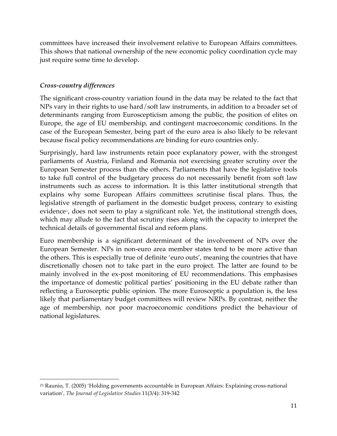committees have increased their involvement relative to European Affairs committees. This shows that national ownership of the new economic policy coordination cycle may just require some time to develop.

# *Cross-country differences*

<u> 1989 - Johann Stein, marwolaethau a bh</u>

The significant cross-country variation found in the data may be related to the fact that NPs vary in their rights to use hard/soft law instruments, in addition to a broader set of determinants ranging from Euroscepticism among the public, the position of elites on Europe, the age of EU membership, and contingent macroeconomic conditions. In the case of the European Semester, being part of the euro area is also likely to be relevant because fiscal policy recommendations are binding for euro countries only.

Surprisingly, hard law instruments retain poor explanatory power, with the strongest parliaments of Austria, Finland and Romania not exercising greater scrutiny over the European Semester process than the others. Parliaments that have the legislative tools to take full control of the budgetary process do not necessarily benefit from soft law instruments such as access to information. It is this latter institutional strength that explains why some European Affairs committees scrutinise fiscal plans. Thus, the legislative strength of parliament in the domestic budget process, contrary to existing evidence<sup>2</sup>, does not seem to play a significant role. Yet, the institutional strength does, which may allude to the fact that scrutiny rises along with the capacity to interpret the technical details of governmental fiscal and reform plans.

Euro membership is a significant determinant of the involvement of NPs over the European Semester. NPs in non-euro area member states tend to be more active than the others. This is especially true of definite 'euro outs', meaning the countries that have discretionally chosen not to take part in the euro project. The latter are found to be mainly involved in the ex-post monitoring of EU recommendations. This emphasises the importance of domestic political parties' positioning in the EU debate rather than reflecting a Eurosceptic public opinion. The more Eurosceptic a population is, the less likely that parliamentary budget committees will review NRPs. By contrast, neither the age of membership, nor poor macroeconomic conditions predict the behaviour of national legislatures.

<sup>21</sup> Raunio, T. (2005) 'Holding governments accountable in European Affairs: Explaining cross-national variation', *The Journal of Legislative Studies* 11(3/4): 319-342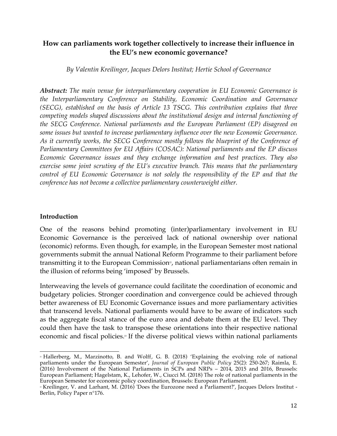# **How can parliaments work together collectively to increase their influence in the EU's new economic governance?**

*By Valentin Kreilinger, Jacques Delors Institut; Hertie School of Governance*

*Abstract: The main venue for interparliamentary cooperation in EU Economic Governance is the Interparliamentary Conference on Stability, Economic Coordination and Governance (SECG), established on the basis of Article 13 TSCG. This contribution explains that three competing models shaped discussions about the institutional design and internal functioning of the SECG Conference. National parliaments and the European Parliament (EP) disagreed on some issues but wanted to increase parliamentary influence over the new Economic Governance. As it currently works, the SECG Conference mostly follows the blueprint of the Conference of Parliamentary Committees for EU Affairs (COSAC): National parliaments and the EP discuss Economic Governance issues and they exchange information and best practices. They also exercise some joint scrutiny of the EU's executive branch. This means that the parliamentary control of EU Economic Governance is not solely the responsibility of the EP and that the conference has not become a collective parliamentary counterweight either.*

# **Introduction**

One of the reasons behind promoting (inter)parliamentary involvement in EU Economic Governance is the perceived lack of national ownership over national (economic) reforms. Even though, for example, in the European Semester most national governments submit the annual National Reform Programme to their parliament before transmitting it to the European Commission<sup>2</sup>, national parliamentarians often remain in the illusion of reforms being 'imposed' by Brussels.

Interweaving the levels of governance could facilitate the coordination of economic and budgetary policies. Stronger coordination and convergence could be achieved through better awareness of EU Economic Governance issues and more parliamentary activities that transcend levels. National parliaments would have to be aware of indicators such as the aggregate fiscal stance of the euro area and debate them at the EU level. They could then have the task to transpose these orientations into their respective national economic and fiscal policies.<sup>23</sup> If the diverse political views within national parliaments

<sup>&</sup>lt;u> 1989 - Johann Stein, marwolaethau a bh</u> <sup>22</sup> Hallerberg, M., Marzinotto, B. and Wolff, G. B. (2018) 'Explaining the evolving role of national parliaments under the European Semester', *Journal of European Public Policy* 25(2): 250-267; Raimla, E. (2016) Involvement of the National Parliaments in SCPs and NRPs – 2014, 2015 and 2016, Brussels: European Parliament; Hagelstam, K., Lehofer, W., Ciucci M. (2018) The role of national parliaments in the European Semester for economic policy coordination, Brussels: European Parliament.

<sup>&</sup>lt;sup>23</sup> Kreilinger, V. and Larhant, M. (2016) 'Does the Eurozone need a Parliament?', Jacques Delors Institut -Berlin, Policy Paper n°176.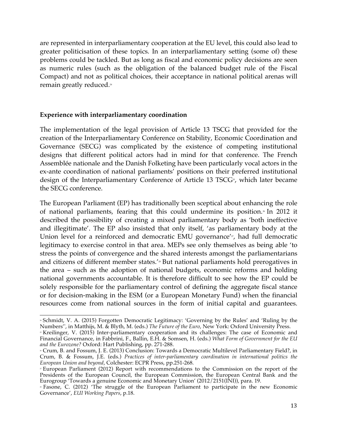are represented in interparliamentary cooperation at the EU level, this could also lead to greater politicisation of these topics. In an interparliamentary setting (some of) these problems could be tackled. But as long as fiscal and economic policy decisions are seen as numeric rules (such as the obligation of the balanced budget rule of the Fiscal Compact) and not as political choices, their acceptance in national political arenas will remain greatly reduced.<sup>24</sup>

# **Experience with interparliamentary coordination**

The implementation of the legal provision of Article 13 TSCG that provided for the creation of the Interparliamentary Conference on Stability, Economic Coordination and Governance (SECG) was complicated by the existence of competing institutional designs that different political actors had in mind for that conference. The French Assemblée nationale and the Danish Folketing have been particularly vocal actors in the ex-ante coordination of national parliaments' positions on their preferred institutional design of the Interparliamentary Conference of Article 13 TSCG<sup>2</sup>, which later became the SECG conference.

The European Parliament (EP) has traditionally been sceptical about enhancing the role of national parliaments, fearing that this could undermine its position.<sup>36</sup> In 2012 it described the possibility of creating a mixed parliamentary body as 'both ineffective and illegitimate'. The EP also insisted that only itself, 'as parliamentary body at the Union level for a reinforced and democratic EMU governance'<sup>27</sup>, had full democratic legitimacy to exercise control in that area. MEPs see only themselves as being able 'to stress the points of convergence and the shared interests amongst the parliamentarians and citizens of different member states.'<sup>28</sup> But national parliaments hold prerogatives in the area – such as the adoption of national budgets, economic reforms and holding national governments accountable. It is therefore difficult to see how the EP could be solely responsible for the parliamentary control of defining the aggregate fiscal stance or for decision-making in the ESM (or a European Monetary Fund) when the financial resources come from national sources in the form of initial capital and guarantees.

<sup>&</sup>lt;u> 1989 - Johann Stein, marwolaethau a bh</u> <sup>24</sup> Schmidt, V. A. (2015) Forgotten Democratic Legitimacy: 'Governing by the Rules' and 'Ruling by the Numbers'', in Matthijs, M. & Blyth, M. (eds.) *The Future of the Euro*, New York: Oxford University Press.

<sup>&</sup>lt;sup>25</sup> Kreilinger, V. (2015) Inter-parliamentary cooperation and its challenges: The case of Economic and Financial Governance, in Fabbrini, F., Ballin, E.H. & Somsen, H. (eds.) *What Form of Government for the EU and the Eurozone?* Oxford: Hart Publishing, pp. 271-288.

<sup>26</sup> Crum, B. and Fossum, J. E. (2013) Conclusion: Towards a Democratic Multilevel Parliamentary Field?, in Crum, B. & Fossum, J.E. (eds.) *Practices of inter-parliamentary coordination in international politics the European Union and beyond*, Colchester: ECPR Press, pp.251-268.

<sup>27</sup> European Parliament (2012) Report with recommendations to the Commission on the report of the Presidents of the European Council, the European Commission, the European Central Bank and the Eurogroup 'Towards a genuine Economic and Monetary Union' (2012/2151(INI)), para. 19.

<sup>28</sup> Fasone, C. (2012) 'The struggle of the European Parliament to participate in the new Economic Governance', *EUI Working Papers*, p.18.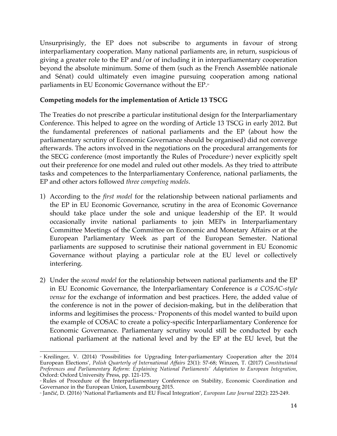Unsurprisingly, the EP does not subscribe to arguments in favour of strong interparliamentary cooperation. Many national parliaments are, in return, suspicious of giving a greater role to the EP and/or of including it in interparliamentary cooperation beyond the absolute minimum. Some of them (such as the French Assemblée nationale and Sénat) could ultimately even imagine pursuing cooperation among national parliaments in EU Economic Governance without the EP.<sup>29</sup>

# **Competing models for the implementation of Article 13 TSCG**

The Treaties do not prescribe a particular institutional design for the Interparliamentary Conference. This helped to agree on the wording of Article 13 TSCG in early 2012. But the fundamental preferences of national parliaments and the EP (about how the parliamentary scrutiny of Economic Governance should be organised) did not converge afterwards. The actors involved in the negotiations on the procedural arrangements for the SECG conference (most importantly the Rules of Procedure<sup>30</sup>) never explicitly spelt out their preference for one model and ruled out other models. As they tried to attribute tasks and competences to the Interparliamentary Conference, national parliaments, the EP and other actors followed *three competing models*.

- 1) According to the *first model* for the relationship between national parliaments and the EP in EU Economic Governance, scrutiny in the area of Economic Governance should take place under the sole and unique leadership of the EP. It would occasionally invite national parliaments to join MEPs in Interparliamentary Committee Meetings of the Committee on Economic and Monetary Affairs or at the European Parliamentary Week as part of the European Semester. National parliaments are supposed to scrutinise their national government in EU Economic Governance without playing a particular role at the EU level or collectively interfering.
- 2) Under the *second model* for the relationship between national parliaments and the EP in EU Economic Governance, the Interparliamentary Conference is *a COSAC-style venue* for the exchange of information and best practices. Here, the added value of the conference is not in the power of decision-making, but in the deliberation that informs and legitimises the process.<sup>31</sup> Proponents of this model wanted to build upon the example of COSAC to create a policy-specific Interparliamentary Conference for Economic Governance. Parliamentary scrutiny would still be conducted by each national parliament at the national level and by the EP at the EU level, but the

<sup>&</sup>lt;u> 1989 - Johann Stein, marwolaethau a bh</u> <sup>29</sup> Kreilinger, V. (2014) 'Possibilities for Upgrading Inter-parliamentary Cooperation after the 2014 European Elections', *Polish Quarterly of International Affairs* 23(1): 57-68; Winzen, T. (2017) *Constitutional Preferences and Parliamentary Reform: Explaining National Parliaments' Adaptation to European Integration,*  Oxford: Oxford University Press, pp. 121-175.

<sup>»</sup> Rules of Procedure of the Interparliamentary Conference on Stability, Economic Coordination and Governance in the European Union, Luxembourg 2015.

<sup>31</sup> Jančić, D. (2016) 'National Parliaments and EU Fiscal Integration', *European Law Journal* 22(2): 225-249.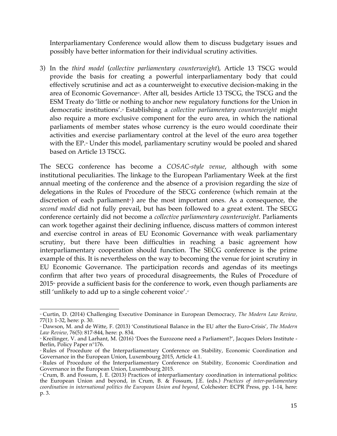Interparliamentary Conference would allow them to discuss budgetary issues and possibly have better information for their individual scrutiny activities.

3) In the *third model* (*collective parliamentary counterweight*), Article 13 TSCG would provide the basis for creating a powerful interparliamentary body that could effectively scrutinise and act as a counterweight to executive decision-making in the area of Economic Governance<sup>32</sup>. After all, besides Article 13 TSCG, the TSCG and the ESM Treaty do 'little or nothing to anchor new regulatory functions for the Union in democratic institutions'. <sup>33</sup> Establishing a *collective parliamentary counterweight* might also require a more exclusive component for the euro area, in which the national parliaments of member states whose currency is the euro would coordinate their activities and exercise parliamentary control at the level of the euro area together with the EP.<sup>34</sup> Under this model, parliamentary scrutiny would be pooled and shared based on Article 13 TSCG.

The SECG conference has become a *COSAC-style venue*, although with some institutional peculiarities. The linkage to the European Parliamentary Week at the first annual meeting of the conference and the absence of a provision regarding the size of delegations in the Rules of Procedure of the SECG conference (which remain at the discretion of each parliament<sup> $s$ </sup>) are the most important ones. As a consequence, the *second model* did not fully prevail, but has been followed to a great extent. The SECG conference certainly did not become a *collective parliamentary counterweight*. Parliaments can work together against their declining influence, discuss matters of common interest and exercise control in areas of EU Economic Governance with weak parliamentary scrutiny, but there have been difficulties in reaching a basic agreement how interparliamentary cooperation should function. The SECG conference is the prime example of this. It is nevertheless on the way to becoming the venue for joint scrutiny in EU Economic Governance. The participation records and agendas of its meetings confirm that after two years of procedural disagreements, the Rules of Procedure of  $2015$ <sup> $\textdegree$ </sup> provide a sufficient basis for the conference to work, even though parliaments are still 'unlikely to add up to a single coherent voice'.<sub>"</sub>

 <sup>32</sup> Curtin, D. (2014) Challenging Executive Dominance in European Democracy, *The Modern Law Review,* 77(1): 1-32, here: p. 30.

<sup>33</sup> Dawson, M. and de Witte, F. (2013) 'Constitutional Balance in the EU after the Euro-Crisis', *The Modern Law Review,* 76(5): 817-844, here: p. 834.

<sup>34</sup> Kreilinger, V. and Larhant, M. (2016) 'Does the Eurozone need a Parliament?', Jacques Delors Institute - Berlin, Policy Paper n°176.

<sup>»</sup> Rules of Procedure of the Interparliamentary Conference on Stability, Economic Coordination and Governance in the European Union, Luxembourg 2015, Article 4.1.

<sup>»</sup> Rules of Procedure of the Interparliamentary Conference on Stability, Economic Coordination and Governance in the European Union, Luxembourg 2015.

<sup>37</sup> Crum, B. and Fossum, J. E. (2013) Practices of interparliamentary coordination in international politics: the European Union and beyond, in Crum, B. & Fossum, J.E. (eds.) *Practices of inter-parliamentary coordination in international politics the European Union and beyond*, Colchester: ECPR Press, pp. 1-14, here: p. 3.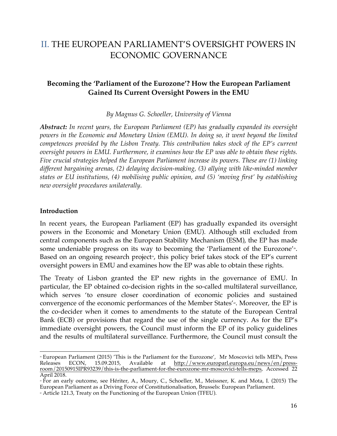# II. THE EUROPEAN PARLIAMENT'S OVERSIGHT POWERS IN ECONOMIC GOVERNANCE

# **Becoming the 'Parliament of the Eurozone'? How the European Parliament Gained Its Current Oversight Powers in the EMU**

*By Magnus G. Schoeller, University of Vienna*

*Abstract: In recent years, the European Parliament (EP) has gradually expanded its oversight powers in the Economic and Monetary Union (EMU). In doing so, it went beyond the limited competences provided by the Lisbon Treaty. This contribution takes stock of the EP's current oversight powers in EMU. Furthermore, it examines how the EP was able to obtain these rights. Five crucial strategies helped the European Parliament increase its powers. These are (1) linking different bargaining arenas, (2) delaying decision-making, (3) allying with like-minded member states or EU institutions, (4) mobilising public opinion, and (5) 'moving first' by establishing new oversight procedures unilaterally.*

#### **Introduction**

<u> 1989 - Johann Stein, marwolaethau a bh</u>

In recent years, the European Parliament (EP) has gradually expanded its oversight powers in the Economic and Monetary Union (EMU). Although still excluded from central components such as the European Stability Mechanism (ESM), the EP has made some undeniable progress on its way to becoming the 'Parliament of the Eurozone'<sup>38</sup>. Based on an ongoing research project<sup>®</sup>, this policy brief takes stock of the EP's current oversight powers in EMU and examines how the EP was able to obtain these rights.

The Treaty of Lisbon granted the EP new rights in the governance of EMU. In particular, the EP obtained co-decision rights in the so-called multilateral surveillance, which serves 'to ensure closer coordination of economic policies and sustained convergence of the economic performances of the Member States'<sup>40</sup>. Moreover, the EP is the co-decider when it comes to amendments to the statute of the European Central Bank (ECB) or provisions that regard the use of the single currency. As for the EP's immediate oversight powers, the Council must inform the EP of its policy guidelines and the results of multilateral surveillance. Furthermore, the Council must consult the

<sup>38</sup> European Parliament (2015) 'This is the Parliament for the Eurozone', Mr Moscovici tells MEPs, Press Releases ECON, 15.09.2015, Available at http://www.europarl.europa.eu/news/en/pressroom/20150915IPR93239/this-is-the-parliament-for-the-eurozone-mr-moscovici-tells-meps, Accessed 22 April 2018.

<sup>»</sup> For an early outcome, see Hériter, A., Moury, C., Schoeller, M., Meissner, K. and Mota, I. (2015) The European Parliament as a Driving Force of Constitutionalisation, Brussels: European Parliament.

<sup>&</sup>lt;sup>®</sup> Article 121.3, Treaty on the Functioning of the European Union (TFEU).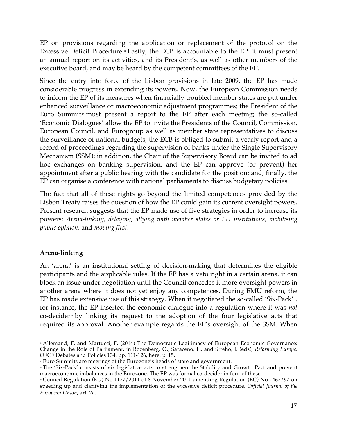EP on provisions regarding the application or replacement of the protocol on the Excessive Deficit Procedure.<sup>41</sup> Lastly, the ECB is accountable to the EP: it must present an annual report on its activities, and its President's, as well as other members of the executive board, and may be heard by the competent committees of the EP.

Since the entry into force of the Lisbon provisions in late 2009, the EP has made considerable progress in extending its powers. Now, the European Commission needs to inform the EP of its measures when financially troubled member states are put under enhanced surveillance or macroeconomic adjustment programmes; the President of the Euro Summit<sup> $\alpha$ </sup> must present a report to the EP after each meeting; the so-called 'Economic Dialogues' allow the EP to invite the Presidents of the Council, Commission, European Council, and Eurogroup as well as member state representatives to discuss the surveillance of national budgets; the ECB is obliged to submit a yearly report and a record of proceedings regarding the supervision of banks under the Single Supervisory Mechanism (SSM); in addition, the Chair of the Supervisory Board can be invited to ad hoc exchanges on banking supervision, and the EP can approve (or prevent) her appointment after a public hearing with the candidate for the position; and, finally, the EP can organise a conference with national parliaments to discuss budgetary policies.

The fact that all of these rights go beyond the limited competences provided by the Lisbon Treaty raises the question of how the EP could gain its current oversight powers. Present research suggests that the EP made use of five strategies in order to increase its powers: *Arena-linking*, *delaying*, *allying with member states or EU institutions*, *mobilising public opinion*, and *moving first*.

# **Arena-linking**

An 'arena' is an institutional setting of decision-making that determines the eligible participants and the applicable rules. If the EP has a veto right in a certain arena, it can block an issue under negotiation until the Council concedes it more oversight powers in another arena where it does not yet enjoy any competences. During EMU reform, the EP has made extensive use of this strategy. When it negotiated the so-called 'Six-Pack'<sup>43</sup>, for instance, the EP inserted the economic dialogue into a regulation where it was *not* co-decider<sup>44</sup> by linking its request to the adoption of the four legislative acts that required its approval. Another example regards the EP's oversight of the SSM. When

 <sup>4</sup> Allemand, F. and Martucci, F. (2014) The Democratic Legitimacy of European Economic Governance: Change in the Role of Parliament, in Rozenberg, O., Saraceno, F., and Streho, I. (eds), *Reforming Europe*, OFCE Debates and Policies 134, pp. 111-126, here: p. 15.

 $^\circ$  Euro Summits are meetings of the Eurozone's heads of state and government.

<sup>&</sup>lt;sup>4</sup> The 'Six-Pack' consists of six legislative acts to strengthen the Stability and Growth Pact and prevent macroeconomic imbalances in the Eurozone. The EP was formal co-decider in four of these.

<sup>44</sup> Council Regulation (EU) No 1177/2011 of 8 November 2011 amending Regulation (EC) No 1467/97 on speeding up and clarifying the implementation of the excessive deficit procedure, *Official Journal of the European Union*, art. 2a.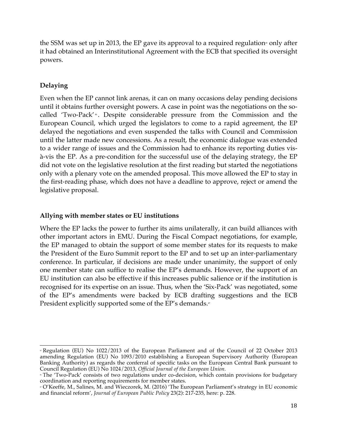the SSM was set up in 2013, the EP gave its approval to a required regulation<sup>5</sup> only after it had obtained an Interinstitutional Agreement with the ECB that specified its oversight powers.

# **Delaying**

Even when the EP cannot link arenas, it can on many occasions delay pending decisions until it obtains further oversight powers. A case in point was the negotiations on the socalled 'Two-Pack' <sup>\*</sup>. Despite considerable pressure from the Commission and the European Council, which urged the legislators to come to a rapid agreement, the EP delayed the negotiations and even suspended the talks with Council and Commission until the latter made new concessions. As a result, the economic dialogue was extended to a wider range of issues and the Commission had to enhance its reporting duties visà-vis the EP. As a pre-condition for the successful use of the delaying strategy, the EP did not vote on the legislative resolution at the first reading but started the negotiations only with a plenary vote on the amended proposal. This move allowed the EP to stay in the first-reading phase, which does not have a deadline to approve, reject or amend the legislative proposal.

# **Allying with member states or EU institutions**

Where the EP lacks the power to further its aims unilaterally, it can build alliances with other important actors in EMU. During the Fiscal Compact negotiations, for example, the EP managed to obtain the support of some member states for its requests to make the President of the Euro Summit report to the EP and to set up an inter-parliamentary conference. In particular, if decisions are made under unanimity, the support of only one member state can suffice to realise the EP's demands. However, the support of an EU institution can also be effective if this increases public salience or if the institution is recognised for its expertise on an issue. Thus, when the 'Six-Pack' was negotiated, some of the EP's amendments were backed by ECB drafting suggestions and the ECB President explicitly supported some of the EP's demands.<sup>47</sup>

 <sup>45</sup> Regulation (EU) No 1022/2013 of the European Parliament and of the Council of 22 October 2013 amending Regulation (EU) No 1093/2010 establishing a European Supervisory Authority (European Banking Authority) as regards the conferral of specific tasks on the European Central Bank pursuant to Council Regulation (EU) No 1024/2013, *Official Journal of the European Union.*

<sup>46</sup> The 'Two-Pack' consists of two regulations under co-decision, which contain provisions for budgetary coordination and reporting requirements for member states.

<sup>47</sup> O'Keeffe, M., Salines, M. and Wieczorek, M. (2016) 'The European Parliament's strategy in EU economic and financial reform', *Journal of European Public Policy* 23(2): 217-235, here: p. 228.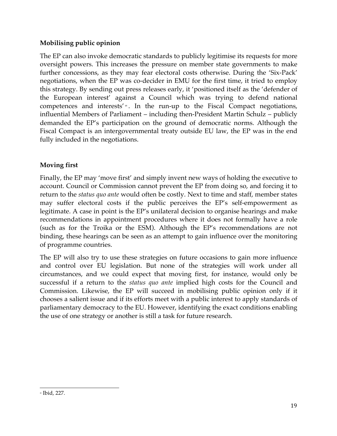# **Mobilising public opinion**

The EP can also invoke democratic standards to publicly legitimise its requests for more oversight powers. This increases the pressure on member state governments to make further concessions, as they may fear electoral costs otherwise. During the 'Six-Pack' negotiations, when the EP was co-decider in EMU for the first time, it tried to employ this strategy. By sending out press releases early, it 'positioned itself as the 'defender of the European interest' against a Council which was trying to defend national competences and interests'<sup>\*</sup>. In the run-up to the Fiscal Compact negotiations, influential Members of Parliament – including then-President Martin Schulz – publicly demanded the EP's participation on the ground of democratic norms. Although the Fiscal Compact is an intergovernmental treaty outside EU law, the EP was in the end fully included in the negotiations.

# **Moving first**

Finally, the EP may 'move first' and simply invent new ways of holding the executive to account. Council or Commission cannot prevent the EP from doing so, and forcing it to return to the *status quo ante* would often be costly. Next to time and staff, member states may suffer electoral costs if the public perceives the EP's self-empowerment as legitimate. A case in point is the EP's unilateral decision to organise hearings and make recommendations in appointment procedures where it does not formally have a role (such as for the Troika or the ESM). Although the EP's recommendations are not binding, these hearings can be seen as an attempt to gain influence over the monitoring of programme countries.

The EP will also try to use these strategies on future occasions to gain more influence and control over EU legislation. But none of the strategies will work under all circumstances, and we could expect that moving first, for instance, would only be successful if a return to the *status quo ante* implied high costs for the Council and Commission. Likewise, the EP will succeed in mobilising public opinion only if it chooses a salient issue and if its efforts meet with a public interest to apply standards of parliamentary democracy to the EU. However, identifying the exact conditions enabling the use of one strategy or another is still a task for future research.

<sup>&</sup>lt;u> 1989 - Johann Stein, marwolaethau a bh</u> <sup>48</sup> Ibid, 227.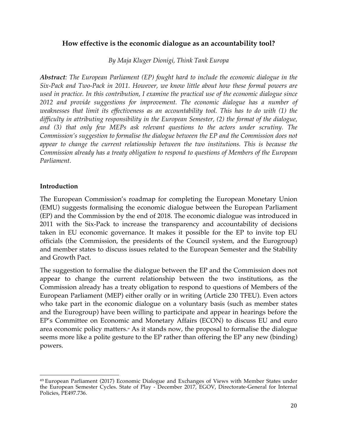# **How effective is the economic dialogue as an accountability tool?**

*By Maja Kluger Dionigi, Think Tank Europa*

*Abstract: The European Parliament (EP) fought hard to include the economic dialogue in the Six-Pack and Two-Pack in 2011. However, we know little about how these formal powers are used in practice. In this contribution, I examine the practical use of the economic dialogue since 2012 and provide suggestions for improvement. The economic dialogue has a number of weaknesses that limit its effectiveness as an accountability tool. This has to do with (1) the difficulty in attributing responsibility in the European Semester, (2) the format of the dialogue,*  and (3) that only few MEPs ask relevant questions to the actors under scrutiny. The *Commission's suggestion to formalise the dialogue between the EP and the Commission does not appear to change the current relationship between the two institutions. This is because the Commission already has a treaty obligation to respond to questions of Members of the European Parliament.*

#### **Introduction**

<u> 1989 - Johann Stein, marwolaethau a bh</u>

The European Commission's roadmap for completing the European Monetary Union (EMU) suggests formalising the economic dialogue between the European Parliament (EP) and the Commission by the end of 2018. The economic dialogue was introduced in 2011 with the Six-Pack to increase the transparency and accountability of decisions taken in EU economic governance. It makes it possible for the EP to invite top EU officials (the Commission, the presidents of the Council system, and the Eurogroup) and member states to discuss issues related to the European Semester and the Stability and Growth Pact.

The suggestion to formalise the dialogue between the EP and the Commission does not appear to change the current relationship between the two institutions, as the Commission already has a treaty obligation to respond to questions of Members of the European Parliament (MEP) either orally or in writing (Article 230 TFEU). Even actors who take part in the economic dialogue on a voluntary basis (such as member states and the Eurogroup) have been willing to participate and appear in hearings before the EP's Committee on Economic and Monetary Affairs (ECON) to discuss EU and euro area economic policy matters.<sup>4</sup> As it stands now, the proposal to formalise the dialogue seems more like a polite gesture to the EP rather than offering the EP any new (binding) powers.

<sup>49</sup> European Parliament (2017) Economic Dialogue and Exchanges of Views with Member States under the European Semester Cycles. State of Play - December 2017, EGOV, Directorate-General for Internal Policies, PE497.736.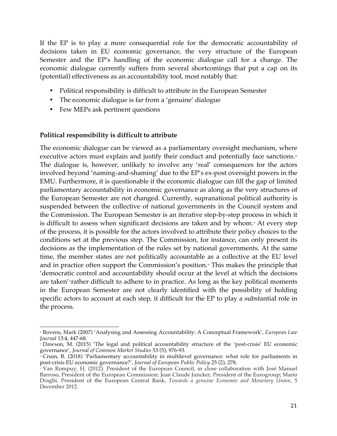If the EP is to play a more consequential role for the democratic accountability of decisions taken in EU economic governance, the very structure of the European Semester and the EP's handling of the economic dialogue call for a change. The economic dialogue currently suffers from several shortcomings that put a cap on its (potential) effectiveness as an accountability tool, most notably that:

- Political responsibility is difficult to attribute in the European Semester
- The economic dialogue is far from a 'genuine' dialogue
- Few MEPs ask pertinent questions

# **Political responsibility is difficult to attribute**

The economic dialogue can be viewed as a parliamentary oversight mechanism, where executive actors must explain and justify their conduct and potentially face sanctions.<sup>50</sup> The dialogue is, however, unlikely to involve any 'real' consequences for the actors involved beyond 'naming-and-shaming' due to the EP's ex-post oversight powers in the EMU. Furthermore, it is questionable if the economic dialogue can fill the gap of limited parliamentary accountability in economic governance as along as the very structures of the European Semester are not changed. Currently, supranational political authority is suspended between the collective of national governments in the Council system and the Commission. The European Semester is an iterative step-by-step process in which it is difficult to assess when significant decisions are taken and by whom.<sup>51</sup> At every step of the process, it is possible for the actors involved to attribute their policy choices to the conditions set at the previous step. The Commission, for instance, can only present its decisions as the implementation of the rules set by national governments. At the same time, the member states are not politically accountable as a collective at the EU level and in practice often support the Commission's position.<sup> $\infty$ </sup> This makes the principle that 'democratic control and accountability should occur at the level at which the decisions are taken'<sup>s</sup> rather difficult to adhere to in practice. As long as the key political moments in the European Semester are not clearly identified with the possibility of holding specific actors to account at each step, it difficult for the EP to play a substantial role in the process.

<sup>&</sup>lt;u> 1989 - Johann Stein, marwolaethau a bh</u> <sup>50</sup> Bovens, Mark (2007) 'Analysing and Assessing Accountability: A Conceptual Framework', *European Law Journal* 13:4, 447-68.

<sup>51</sup> Dawson, M. (2015) 'The legal and political accountability structure of the 'post-crisis' EU economic governance', *Journal of Common Market Studies* 53 (5), 976-93.

<sup>¤</sup> Crum, B. (2018) 'Parliamentary accountability in multilevel governance: what role for parliaments in post-crisis EU economic governance?', *Journal of European Public Policy* 25 (2), 278.

<sup>53</sup> Van Rompuy, H. (2012). President of the European Council, in close collaboration with José Manuel Barroso, President of the European Commission; Jean Claude Juncker, President of the Eurogroup; Mario Draghi, President of the European Central Bank, *Towards a genuine Economic and Monetary Union*, 5 December 2012.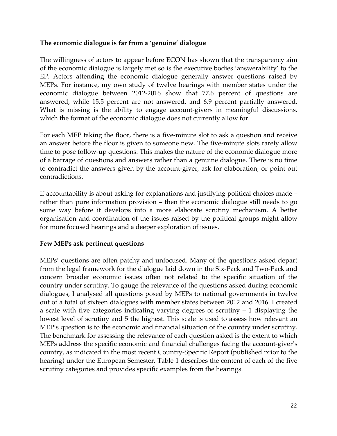# **The economic dialogue is far from a 'genuine' dialogue**

The willingness of actors to appear before ECON has shown that the transparency aim of the economic dialogue is largely met so is the executive bodies 'answerability' to the EP. Actors attending the economic dialogue generally answer questions raised by MEPs. For instance, my own study of twelve hearings with member states under the economic dialogue between 2012-2016 show that 77.6 percent of questions are answered, while 15.5 percent are not answered, and 6.9 percent partially answered. What is missing is the ability to engage account-givers in meaningful discussions, which the format of the economic dialogue does not currently allow for.

For each MEP taking the floor, there is a five-minute slot to ask a question and receive an answer before the floor is given to someone new. The five-minute slots rarely allow time to pose follow-up questions. This makes the nature of the economic dialogue more of a barrage of questions and answers rather than a genuine dialogue. There is no time to contradict the answers given by the account-giver, ask for elaboration, or point out contradictions.

If accountability is about asking for explanations and justifying political choices made – rather than pure information provision – then the economic dialogue still needs to go some way before it develops into a more elaborate scrutiny mechanism. A better organisation and coordination of the issues raised by the political groups might allow for more focused hearings and a deeper exploration of issues.

#### **Few MEPs ask pertinent questions**

MEPs' questions are often patchy and unfocused. Many of the questions asked depart from the legal framework for the dialogue laid down in the Six-Pack and Two-Pack and concern broader economic issues often not related to the specific situation of the country under scrutiny. To gauge the relevance of the questions asked during economic dialogues, I analysed all questions posed by MEPs to national governments in twelve out of a total of sixteen dialogues with member states between 2012 and 2016. I created a scale with five categories indicating varying degrees of scrutiny – 1 displaying the lowest level of scrutiny and 5 the highest. This scale is used to assess how relevant an MEP's question is to the economic and financial situation of the country under scrutiny. The benchmark for assessing the relevance of each question asked is the extent to which MEPs address the specific economic and financial challenges facing the account-giver's country, as indicated in the most recent Country-Specific Report (published prior to the hearing) under the European Semester. Table 1 describes the content of each of the five scrutiny categories and provides specific examples from the hearings.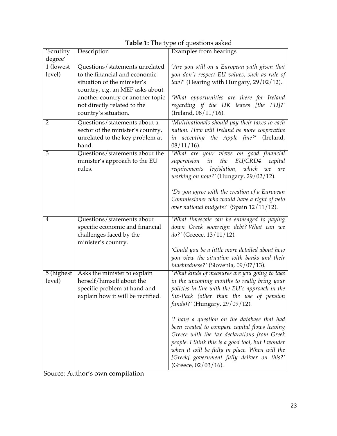| 'Scrutiny      | Description                                                     | <b>Examples from hearings</b>                                                        |
|----------------|-----------------------------------------------------------------|--------------------------------------------------------------------------------------|
| degree'        |                                                                 |                                                                                      |
| 1 (lowest)     | Questions/statements unrelated                                  | 'Are you still on a European path given that                                         |
| level)         | to the financial and economic                                   | you don't respect EU values, such as rule of                                         |
|                | situation of the minister's                                     | law?' (Hearing with Hungary, 29/02/12).                                              |
|                | country, e.g. an MEP asks about                                 |                                                                                      |
|                | another country or another topic<br>not directly related to the | 'What opportunities are there for Ireland<br>regarding if the UK leaves [the EU]?'   |
|                | country's situation.                                            | (Ireland, 08/11/16).                                                                 |
| $\overline{2}$ | Questions/statements about a                                    | 'Multinationals should pay their taxes to each                                       |
|                | sector of the minister's country,                               | nation. How will Ireland be more cooperative                                         |
|                | unrelated to the key problem at                                 | in accepting the Apple fine?' (Ireland,                                              |
|                | hand.                                                           | $08/11/16$ ).                                                                        |
| $\overline{3}$ | Questions/statements about the                                  | 'What are your views on good financial                                               |
|                | minister's approach to the EU                                   | EU/CRD4<br>supervision<br>in<br>the<br>capital                                       |
|                | rules.                                                          | legislation, which<br>requirements<br>we<br>are                                      |
|                |                                                                 | working on now?' (Hungary, 29/02/12).                                                |
|                |                                                                 | 'Do you agree with the creation of a European                                        |
|                |                                                                 | Commissioner who would have a right of veto                                          |
|                |                                                                 | over national budgets?' (Spain 12/11/12).                                            |
|                |                                                                 |                                                                                      |
| 4              | Questions/statements about<br>specific economic and financial   | 'What timescale can be envisaged to paying<br>down Greek sovereign debt? What can we |
|                | challenges faced by the                                         | $do?$ (Greece, $13/11/12$ ).                                                         |
|                | minister's country.                                             |                                                                                      |
|                |                                                                 | 'Could you be a little more detailed about how                                       |
|                |                                                                 | you view the situation with banks and their                                          |
|                |                                                                 | indebtedness?' (Slovenia, 09/07/13).                                                 |
| 5 (highest)    | Asks the minister to explain                                    | 'What kinds of measures are you going to take                                        |
| level)         | herself/himself about the                                       | in the upcoming months to really bring your                                          |
|                | specific problem at hand and                                    | policies in line with the EU's approach in the                                       |
|                | explain how it will be rectified.                               | Six-Pack (other than the use of pension<br><i>funds</i> )?' (Hungary, 29/09/12).     |
|                |                                                                 |                                                                                      |
|                |                                                                 | 'I have a question on the database that had                                          |
|                |                                                                 | been created to compare capital flows leaving                                        |
|                |                                                                 | Greece with the tax declarations from Greek                                          |
|                |                                                                 | people. I think this is a good tool, but I wonder                                    |
|                |                                                                 | when it will be fully in place. When will the                                        |
|                |                                                                 | [Greek] government fully deliver on this?'                                           |
|                |                                                                 | (Greece, 02/03/16).                                                                  |

| Table 1: The type of questions asked |  |
|--------------------------------------|--|
|--------------------------------------|--|

Source: Author's own compilation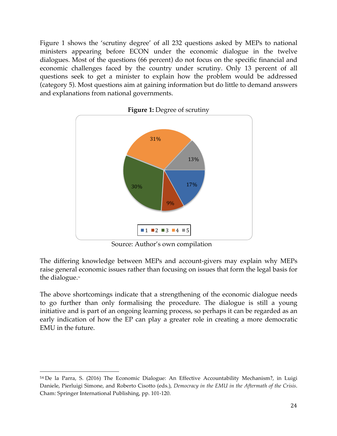Figure 1 shows the 'scrutiny degree' of all 232 questions asked by MEPs to national ministers appearing before ECON under the economic dialogue in the twelve dialogues. Most of the questions (66 percent) do not focus on the specific financial and economic challenges faced by the country under scrutiny. Only 13 percent of all questions seek to get a minister to explain how the problem would be addressed (category 5). Most questions aim at gaining information but do little to demand answers and explanations from national governments.



Source: Author's own compilation

The differing knowledge between MEPs and account-givers may explain why MEPs raise general economic issues rather than focusing on issues that form the legal basis for the dialogue. 54

The above shortcomings indicate that a strengthening of the economic dialogue needs to go further than only formalising the procedure. The dialogue is still a young initiative and is part of an ongoing learning process, so perhaps it can be regarded as an early indication of how the EP can play a greater role in creating a more democratic EMU in the future.

<u> 1989 - Johann Stein, marwolaethau a bh</u>

<sup>54</sup> De la Parra, S. (2016) The Economic Dialogue: An Effective Accountability Mechanism?, in Luigi Daniele, Pierluigi Simone, and Roberto Cisotto (eds.), *Democracy in the EMU in the Aftermath of the Crisis*. Cham: Springer International Publishing, pp. 101-120.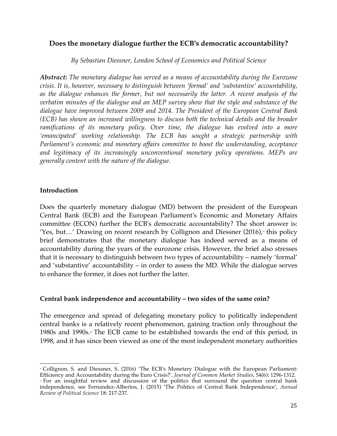# **Does the monetary dialogue further the ECB's democratic accountability?**

*By Sebastian Diessner, London School of Economics and Political Science*

*Abstract: The monetary dialogue has served as a means of accountability during the Eurozone crisis. It is, however, necessary to distinguish between 'formal' and 'substantive' accountability, as the dialogue enhances the former, but not necessarily the latter. A recent analysis of the verbatim minutes of the dialogue and an MEP survey show that the style and substance of the dialogue have improved between 2009 and 2014. The President of the European Central Bank (ECB) has shown an increased willingness to discuss both the technical details and the broader ramifications of its monetary policy. Over time, the dialogue has evolved into a more 'emancipated' working relationship. The ECB has sought a strategic partnership with Parliament's economic and monetary affairs committee to boost the understanding, acceptance and legitimacy of its increasingly unconventional monetary policy operations. MEPs are generally content with the nature of the dialogue.*

# **Introduction**

Does the quarterly monetary dialogue (MD) between the president of the European Central Bank (ECB) and the European Parliament's Economic and Monetary Affairs committee (ECON) further the ECB's democratic accountability? The short answer is: 'Yes, but...' Drawing on recent research by Collignon and Diessner  $(2016)$ , this policy brief demonstrates that the monetary dialogue has indeed served as a means of accountability during the years of the eurozone crisis. However, the brief also stresses that it is necessary to distinguish between two types of accountability – namely 'formal' and 'substantive' accountability – in order to assess the MD. While the dialogue serves to enhance the former, it does not further the latter.

# **Central bank independence and accountability – two sides of the same coin?**

The emergence and spread of delegating monetary policy to politically independent central banks is a relatively recent phenomenon, gaining traction only throughout the 1980s and 1990s.<sup>\*</sup> The ECB came to be established towards the end of this period, in 1998, and it has since been viewed as one of the most independent monetary authorities

<sup>&</sup>lt;u> 1989 - Johann Stein, marwolaethau a bh</u> <sup>55</sup> Collignon, S. and Diessner, S. (2016) 'The ECB's Monetary Dialogue with the European Parliament: Efficiency and Accountability during the Euro Crisis?', *Journal of Common Market Studies*, 54(6): 1296-1312.

<sup>56</sup> For an insightful review and discussion of the politics that surround the question central bank independence, see Fernandez-Albertos, J. (2015) 'The Politics of Central Bank Independence', *Annual Review of Political Science* 18: 217-237.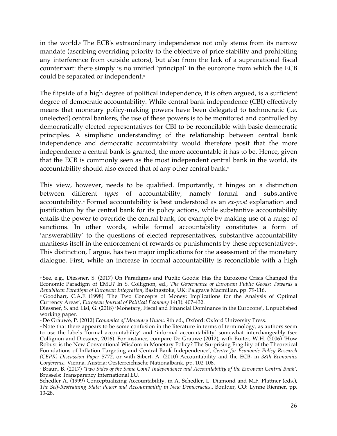in the world.<sup>*n*</sup> The ECB's extraordinary independence not only stems from its narrow mandate (ascribing overriding priority to the objective of price stability and prohibiting any interference from outside actors), but also from the lack of a supranational fiscal counterpart: there simply is no unified 'principal' in the eurozone from which the ECB could be separated or independent.<sup>88</sup>

The flipside of a high degree of political independence, it is often argued, is a sufficient degree of democratic accountability. While central bank independence (CBI) effectively means that monetary policy-making powers have been delegated to technocratic (i.e. unelected) central bankers, the use of these powers is to be monitored and controlled by democratically elected representatives for CBI to be reconcilable with basic democratic principles. A simplistic understanding of the relationship between central bank independence and democratic accountability would therefore posit that the more independence a central bank is granted, the more accountable it has to be. Hence, given that the ECB is commonly seen as the most independent central bank in the world, its accountability should also exceed that of any other central bank.<sup>99</sup>

This view, however, needs to be qualified. Importantly, it hinges on a distinction between different *types* of accountability, namely formal and substantive accountability.<sup>®</sup> Formal accountability is best understood as an *ex-post* explanation and justification by the central bank for its policy actions, while substantive accountability entails the power to override the central bank, for example by making use of a range of sanctions. In other words, while formal accountability constitutes a form of 'answerability' to the questions of elected representatives, substantive accountability manifests itself in the enforcement of rewards or punishments by these representatives<sup>61</sup>. This distinction, I argue, has two major implications for the assessment of the monetary dialogue. First, while an increase in formal accountability is reconcilable with a high

 <sup>57</sup> See, e.g., Diessner, S. (2017) On Paradigms and Public Goods: Has the Eurozone Crisis Changed the Economic Paradigm of EMU? In S. Collignon, ed., *The Governance of European Public Goods: Towards a Republican Paradigm of European Integration*, Basingstoke, UK: Palgrave Macmillan, pp. 79-116.

<sup>58</sup> Goodhart, C.A.E (1998) 'The Two Concepts of Money: Implications for the Analysis of Optimal Currency Areas', *European Journal of Political Economy* 14(3): 407-432.

Diessner, S. and Lisi, G. (2018) 'Monetary, Fiscal and Financial Dominance in the Eurozone', Unpublished working paper.

<sup>59</sup> De Grauwe, P. (2012) *Economics of Monetary Union*. 9th ed., Oxford: Oxford University Press.

<sup>60</sup> Note that there appears to be some confusion in the literature in terms of terminology, as authors seem to use the labels 'formal accountability' and 'informal accountability' somewhat interchangeably (see Collignon and Diessner, 2016). For instance, compare De Grauwe (2012), with Buiter, W.H. (2006) 'How Robust is the New Conventional Wisdom in Monetary Policy? The Surprising Fragility of the Theoretical Foundations of Inflation Targeting and Central Bank Independence', *Centre for Economic Policy Research (CEPR) Discussion Paper* 5772, or with Sibert, A. (2010) Accountability and the ECB, in *38th Economics Conference*, Vienna, Austria: Oesterreichische Nationalbank, pp. 102-108.

<sup>61</sup> Braun, B. (2017) *'Two Sides of the Same Coin? Independence and Accountability of the European Central Bank',* Brussels: Transparency International EU.

Schedler A. (1999) Conceptualizing Accountability, in A. Schedler, L. Diamond and M.F. Plattner (eds.), *The Self-Restraining State: Power and Accountability in New Democracies*., Boulder, CO: Lynne Rienner, pp. 13-28.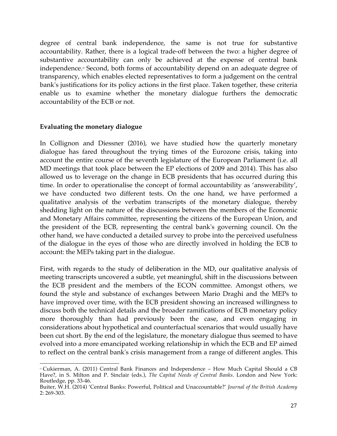degree of central bank independence, the same is not true for substantive accountability. Rather, there is a logical trade-off between the two: a higher degree of substantive accountability can only be achieved at the expense of central bank independence.<sup>®</sup> Second, both forms of accountability depend on an adequate degree of transparency, which enables elected representatives to form a judgement on the central bank's justifications for its policy actions in the first place. Taken together, these criteria enable us to examine whether the monetary dialogue furthers the democratic accountability of the ECB or not.

#### **Evaluating the monetary dialogue**

In Collignon and Diessner (2016), we have studied how the quarterly monetary dialogue has fared throughout the trying times of the Eurozone crisis, taking into account the entire course of the seventh legislature of the European Parliament (i.e. all MD meetings that took place between the EP elections of 2009 and 2014). This has also allowed us to leverage on the change in ECB presidents that has occurred during this time. In order to operationalise the concept of formal accountability as 'answerability', we have conducted two different tests. On the one hand, we have performed a qualitative analysis of the verbatim transcripts of the monetary dialogue, thereby shedding light on the nature of the discussions between the members of the Economic and Monetary Affairs committee, representing the citizens of the European Union, and the president of the ECB, representing the central bank's governing council. On the other hand, we have conducted a detailed survey to probe into the perceived usefulness of the dialogue in the eyes of those who are directly involved in holding the ECB to account: the MEPs taking part in the dialogue.

First, with regards to the study of deliberation in the MD, our qualitative analysis of meeting transcripts uncovered a subtle, yet meaningful, shift in the discussions between the ECB president and the members of the ECON committee. Amongst others, we found the style and substance of exchanges between Mario Draghi and the MEPs to have improved over time, with the ECB president showing an increased willingness to discuss both the technical details and the broader ramifications of ECB monetary policy more thoroughly than had previously been the case, and even engaging in considerations about hypothetical and counterfactual scenarios that would usually have been cut short. By the end of the legislature, the monetary dialogue thus seemed to have evolved into a more emancipated working relationship in which the ECB and EP aimed to reflect on the central bank's crisis management from a range of different angles. This

<sup>&</sup>lt;u> 1989 - Johann Stein, marwolaethau a bh</u> <sup>62</sup> Cukierman, A. (2011) Central Bank Finances and Independence – How Much Capital Should a CB Have?, in S. Milton and P. Sinclair (eds.), *The Capital Needs of Central Banks*. London and New York: Routledge, pp. 33-46.

Buiter, W.H. (2014) 'Central Banks: Powerful, Political and Unaccountable?' *Journal of the British Academy* 2: 269-303.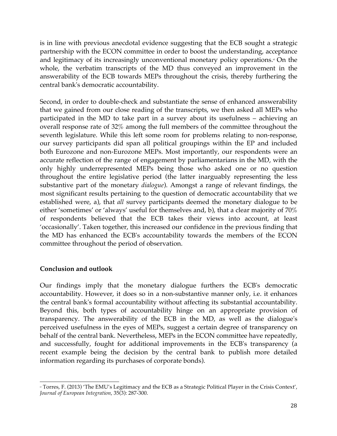is in line with previous anecdotal evidence suggesting that the ECB sought a strategic partnership with the ECON committee in order to boost the understanding, acceptance and legitimacy of its increasingly unconventional monetary policy operations.<sup>®</sup> On the whole, the verbatim transcripts of the MD thus conveyed an improvement in the answerability of the ECB towards MEPs throughout the crisis, thereby furthering the central bank's democratic accountability.

Second, in order to double-check and substantiate the sense of enhanced answerability that we gained from our close reading of the transcripts, we then asked all MEPs who participated in the MD to take part in a survey about its usefulness – achieving an overall response rate of 32% among the full members of the committee throughout the seventh legislature. While this left some room for problems relating to non-response, our survey participants did span all political groupings within the EP and included both Eurozone and non-Eurozone MEPs. Most importantly, our respondents were an accurate reflection of the range of engagement by parliamentarians in the MD, with the only highly underrepresented MEPs being those who asked one or no question throughout the entire legislative period (the latter inarguably representing the less substantive part of the monetary *dialogue*). Amongst a range of relevant findings, the most significant results pertaining to the question of democratic accountability that we established were, a), that *all* survey participants deemed the monetary dialogue to be either 'sometimes' or 'always' useful for themselves and, b), that a clear majority of 70% of respondents believed that the ECB takes their views into account, at least 'occasionally'. Taken together, this increased our confidence in the previous finding that the MD has enhanced the ECB's accountability towards the members of the ECON committee throughout the period of observation.

#### **Conclusion and outlook**

Our findings imply that the monetary dialogue furthers the ECB's democratic accountability. However, it does so in a non-substantive manner only, i.e. it enhances the central bank's formal accountability without affecting its substantial accountability. Beyond this, both types of accountability hinge on an appropriate provision of transparency. The answerability of the ECB in the MD, as well as the dialogue's perceived usefulness in the eyes of MEPs, suggest a certain degree of transparency on behalf of the central bank. Nevertheless, MEPs in the ECON committee have repeatedly, and successfully, fought for additional improvements in the ECB's transparency (a recent example being the decision by the central bank to publish more detailed information regarding its purchases of corporate bonds).

 <sup>6</sup> Torres, F. (2013) 'The EMU's Legitimacy and the ECB as a Strategic Political Player in the Crisis Context', *Journal of European Integration*, 35(3): 287-300.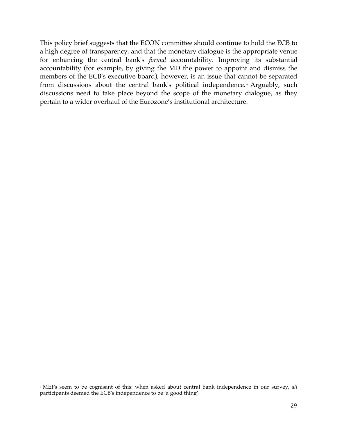This policy brief suggests that the ECON committee should continue to hold the ECB to a high degree of transparency, and that the monetary dialogue is the appropriate venue for enhancing the central bank's *formal* accountability. Improving its substantial accountability (for example, by giving the MD the power to appoint and dismiss the members of the ECB's executive board), however, is an issue that cannot be separated from discussions about the central bank's political independence.<sup>44</sup> Arguably, such discussions need to take place beyond the scope of the monetary dialogue, as they pertain to a wider overhaul of the Eurozone's institutional architecture.

 <sup>4</sup> MEPs seem to be cognisant of this: when asked about central bank independence in our survey, all participants deemed the ECB's independence to be 'a good thing'.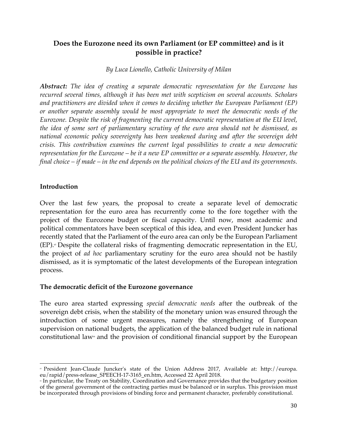# **Does the Eurozone need its own Parliament (or EP committee) and is it possible in practice?**

# *By Luca Lionello, Catholic University of Milan*

*Abstract: The idea of creating a separate democratic representation for the Eurozone has recurred several times, although it has been met with scepticism on several accounts. Scholars and practitioners are divided when it comes to deciding whether the European Parliament (EP) or another separate assembly would be most appropriate to meet the democratic needs of the Eurozone. Despite the risk of fragmenting the current democratic representation at the EU level, the idea of some sort of parliamentary scrutiny of the euro area should not be dismissed, as national economic policy sovereignty has been weakened during and after the sovereign debt crisis. This contribution examines the current legal possibilities to create a new democratic representation for the Eurozone – be it a new EP committee or a separate assembly. However, the final choice – if made – in the end depends on the political choices of the EU and its governments.* 

# **Introduction**

Over the last few years, the proposal to create a separate level of democratic representation for the euro area has recurrently come to the fore together with the project of the Eurozone budget or fiscal capacity. Until now, most academic and political commentators have been sceptical of this idea, and even President Juncker has recently stated that the Parliament of the euro area can only be the European Parliament (EP).<sup>6</sup> Despite the collateral risks of fragmenting democratic representation in the EU, the project of *ad hoc* parliamentary scrutiny for the euro area should not be hastily dismissed, as it is symptomatic of the latest developments of the European integration process.

# **The democratic deficit of the Eurozone governance**

The euro area started expressing *special democratic needs* after the outbreak of the sovereign debt crisis, when the stability of the monetary union was ensured through the introduction of some urgent measures, namely the strengthening of European supervision on national budgets, the application of the balanced budget rule in national constitutional law<sup>®</sup> and the provision of conditional financial support by the European

<sup>&</sup>lt;u> 1989 - Johann Stein, marwolaethau a bh</u> <sup>65</sup> President Jean-Claude Juncker's state of the Union Address 2017, Available at: http://europa. eu/rapid/press-release\_SPEECH-17-3165\_en.htm, Accessed 22 April 2018.

<sup>66</sup> In particular, the Treaty on Stability, Coordination and Governance provides that the budgetary position of the general government of the contracting parties must be balanced or in surplus. This provision must be incorporated through provisions of binding force and permanent character, preferably constitutional.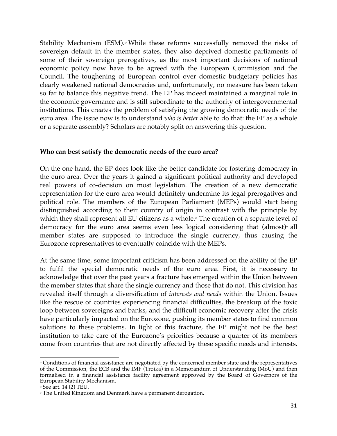Stability Mechanism (ESM). $\sigma$  While these reforms successfully removed the risks of sovereign default in the member states, they also deprived domestic parliaments of some of their sovereign prerogatives, as the most important decisions of national economic policy now have to be agreed with the European Commission and the Council. The toughening of European control over domestic budgetary policies has clearly weakened national democracies and, unfortunately, no measure has been taken so far to balance this negative trend. The EP has indeed maintained a marginal role in the economic governance and is still subordinate to the authority of intergovernmental institutions. This creates the problem of satisfying the growing democratic needs of the euro area. The issue now is to understand *who is better* able to do that: the EP as a whole or a separate assembly? Scholars are notably split on answering this question.

#### **Who can best satisfy the democratic needs of the euro area?**

On the one hand, the EP does look like the better candidate for fostering democracy in the euro area. Over the years it gained a significant political authority and developed real powers of co-decision on most legislation. The creation of a new democratic representation for the euro area would definitely undermine its legal prerogatives and political role. The members of the European Parliament (MEPs) would start being distinguished according to their country of origin in contrast with the principle by which they shall represent all EU citizens as a whole.<sup>®</sup> The creation of a separate level of democracy for the euro area seems even less logical considering that  $(almost)*$  all member states are supposed to introduce the single currency, thus causing the Eurozone representatives to eventually coincide with the MEPs.

At the same time, some important criticism has been addressed on the ability of the EP to fulfil the special democratic needs of the euro area. First, it is necessary to acknowledge that over the past years a fracture has emerged within the Union between the member states that share the single currency and those that do not. This division has revealed itself through a diversification of *interests and needs* within the Union. Issues like the rescue of countries experiencing financial difficulties, the breakup of the toxic loop between sovereigns and banks, and the difficult economic recovery after the crisis have particularly impacted on the Eurozone, pushing its member states to find common solutions to these problems. In light of this fracture, the EP might not be the best institution to take care of the Eurozone's priorities because a quarter of its members come from countries that are not directly affected by these specific needs and interests.

 <sup>67</sup> Conditions of financial assistance are negotiated by the concerned member state and the representatives of the Commission, the ECB and the IMF (Troika) in a Memorandum of Understanding (MoU) and then formalised in a financial assistance facility agreement approved by the Board of Governors of the European Stability Mechanism.

 $\degree$  See art. 14 (2) TEU.

<sup>69</sup> The United Kingdom and Denmark have a permanent derogation.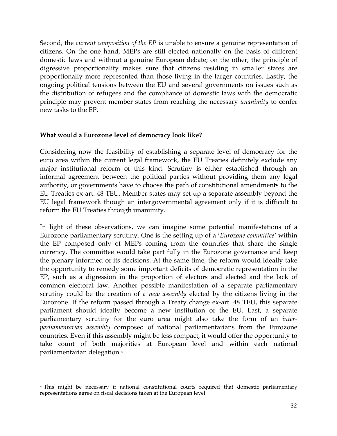Second, the *current composition of the EP* is unable to ensure a genuine representation of citizens. On the one hand, MEPs are still elected nationally on the basis of different domestic laws and without a genuine European debate; on the other, the principle of digressive proportionality makes sure that citizens residing in smaller states are proportionally more represented than those living in the larger countries. Lastly, the ongoing political tensions between the EU and several governments on issues such as the distribution of refugees and the compliance of domestic laws with the democratic principle may prevent member states from reaching the necessary *unanimity* to confer new tasks to the EP.

#### **What would a Eurozone level of democracy look like?**

Considering now the feasibility of establishing a separate level of democracy for the euro area within the current legal framework, the EU Treaties definitely exclude any major institutional reform of this kind. Scrutiny is either established through an informal agreement between the political parties without providing them any legal authority, or governments have to choose the path of constitutional amendments to the EU Treaties ex-art. 48 TEU. Member states may set up a separate assembly beyond the EU legal framework though an intergovernmental agreement only if it is difficult to reform the EU Treaties through unanimity.

In light of these observations, we can imagine some potential manifestations of a Eurozone parliamentary scrutiny. One is the setting up of a '*Eurozone committee'* within the EP composed only of MEPs coming from the countries that share the single currency. The committee would take part fully in the Eurozone governance and keep the plenary informed of its decisions. At the same time, the reform would ideally take the opportunity to remedy some important deficits of democratic representation in the EP, such as a digression in the proportion of electors and elected and the lack of common electoral law. Another possible manifestation of a separate parliamentary scrutiny could be the creation of a *new assembly* elected by the citizens living in the Eurozone. If the reform passed through a Treaty change ex-art. 48 TEU, this separate parliament should ideally become a new institution of the EU. Last, a separate parliamentary scrutiny for the euro area might also take the form of an *interparliamentarian assembly* composed of national parliamentarians from the Eurozone countries. Even if this assembly might be less compact, it would offer the opportunity to take count of both majorities at European level and within each national parliamentarian delegation.<sup>70</sup>

 » This might be necessary if national constitutional courts required that domestic parliamentary representations agree on fiscal decisions taken at the European level.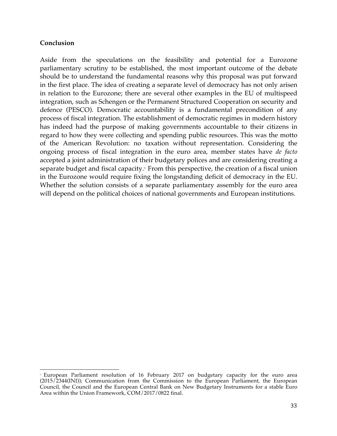#### **Conclusion**

 

Aside from the speculations on the feasibility and potential for a Eurozone parliamentary scrutiny to be established, the most important outcome of the debate should be to understand the fundamental reasons why this proposal was put forward in the first place. The idea of creating a separate level of democracy has not only arisen in relation to the Eurozone; there are several other examples in the EU of multispeed integration, such as Schengen or the Permanent Structured Cooperation on security and defence (PESCO). Democratic accountability is a fundamental precondition of any process of fiscal integration. The establishment of democratic regimes in modern history has indeed had the purpose of making governments accountable to their citizens in regard to how they were collecting and spending public resources. This was the motto of the American Revolution: no taxation without representation. Considering the ongoing process of fiscal integration in the euro area, member states have *de facto*  accepted a joint administration of their budgetary polices and are considering creating a separate budget and fiscal capacity.<sup> $\pi$ </sup> From this perspective, the creation of a fiscal union in the Eurozone would require fixing the longstanding deficit of democracy in the EU. Whether the solution consists of a separate parliamentary assembly for the euro area will depend on the political choices of national governments and European institutions.

<sup>&</sup>lt;sup>n</sup> European Parliament resolution of 16 February 2017 on budgetary capacity for the euro area (2015/2344(INI)); Communication from the Commission to the European Parliament, the European Council, the Council and the European Central Bank on New Budgetary Instruments for a stable Euro Area within the Union Framework, COM/2017/0822 final.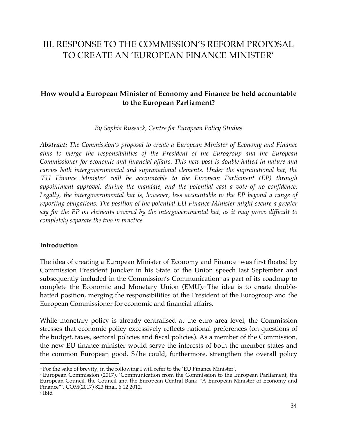# III. RESPONSE TO THE COMMISSION'S REFORM PROPOSAL TO CREATE AN 'EUROPEAN FINANCE MINISTER'

# **How would a European Minister of Economy and Finance be held accountable to the European Parliament?**

*By Sophia Russack, Centre for European Policy Studies*

*Abstract: The Commission's proposal to create a European Minister of Economy and Finance aims to merge the responsibilities of the President of the Eurogroup and the European Commissioner for economic and financial affairs. This new post is double-hatted in nature and carries both intergovernmental and supranational elements. Under the supranational hat, the 'EU Finance Minister' will be accountable to the European Parliament (EP) through appointment approval, during the mandate, and the potential cast a vote of no confidence.*  Legally, the intergovernmental hat is, however, less accountable to the EP beyond a range of *reporting obligations. The position of the potential EU Finance Minister might secure a greater say for the EP on elements covered by the intergovernmental hat, as it may prove difficult to completely separate the two in practice.* 

# **Introduction**

The idea of creating a European Minister of Economy and Finance<sup> $2$ </sup> was first floated by Commission President Juncker in his State of the Union speech last September and subsequently included in the Commission's Communication<sup> $\pi$ </sup> as part of its roadmap to complete the Economic and Monetary Union (EMU).<sup>74</sup> The idea is to create doublehatted position, merging the responsibilities of the President of the Eurogroup and the European Commissioner for economic and financial affairs.

While monetary policy is already centralised at the euro area level, the Commission stresses that economic policy excessively reflects national preferences (on questions of the budget, taxes, sectoral policies and fiscal policies). As a member of the Commission, the new EU finance minister would serve the interests of both the member states and the common European good. S/he could, furthermore, strengthen the overall policy

<sup>&</sup>lt;u> 1989 - Johann Stein, marwolaethau a bh</u> <sup>2</sup> For the sake of brevity, in the following I will refer to the 'EU Finance Minister'.

<sup>&</sup>lt;sup>n</sup> European Commission (2017), 'Communication from the Commission to the European Parliament, the European Council, the Council and the European Central Bank "A European Minister of Economy and Finance"', COM(2017) 823 final, 6.12.2012.

<sup>74</sup> Ibid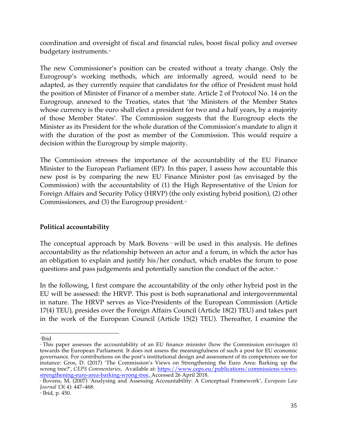coordination and oversight of fiscal and financial rules, boost fiscal policy and oversee budgetary instruments.<sup>75</sup>

The new Commissioner's position can be created without a treaty change. Only the Eurogroup's working methods, which are informally agreed, would need to be adapted, as they currently require that candidates for the office of President must hold the position of Minister of Finance of a member state. Article 2 of Protocol No. 14 on the Eurogroup, annexed to the Treaties, states that 'the Ministers of the Member States whose currency is the euro shall elect a president for two and a half years, by a majority of those Member States'. The Commission suggests that the Eurogroup elects the Minister as its President for the whole duration of the Commission's mandate to align it with the duration of the post as member of the Commission. This would require a decision within the Eurogroup by simple majority.

The Commission stresses the importance of the accountability of the EU Finance Minister to the European Parliament (EP). In this paper, I assess how accountable this new post is by comparing the new EU Finance Minister post (as envisaged by the Commission) with the accountability of (1) the High Representative of the Union for Foreign Affairs and Security Policy (HRVP) (the only existing hybrid position), (2) other Commissioners, and  $(3)$  the Eurogroup president.<sup> $*$ </sup>

# **Political accountability**

The conceptual approach by Mark Bovens  $\pi$  will be used in this analysis. He defines accountability as the relationship between an actor and a forum, in which the actor has an obligation to explain and justify his/her conduct, which enables the forum to pose questions and pass judgements and potentially sanction the conduct of the actor.<sup>88</sup>

In the following, I first compare the accountability of the only other hybrid post in the EU will be assessed: the HRVP. This post is both supranational and intergovernmental in nature. The HRVP serves as Vice-Presidents of the European Commission (Article 17(4) TEU), presides over the Foreign Affairs Council (Article 18(2) TEU) and takes part in the work of the European Council (Article 15(2) TEU). Thereafter, I examine the

 75Ibid

<sup>\*</sup> This paper assesses the accountability of an EU finance minister (how the Commission envisages it) towards the European Parliament. It does not assess the meaningfulness of such a post for EU economic governance. For contributions on the post's institutional design and assessment of its competences see for instance: Gros, D. (2017) 'The Commission's Views on Strengthening the Euro Area: Barking up the wrong tree?', *CEPS Commentaries*, Available at: https://www.ceps.eu/publications/commissions-viewsstrengthening-euro-area-barking-wrong-tree, Accessed 26 April 2018.

<sup>77</sup> Bovens, M, (2007) 'Analysing and Assessing Accountability: A Conceptual Framework', *European Law Journal* 13( 4): 447–468.

<sup>78</sup> Ibid, p. 450.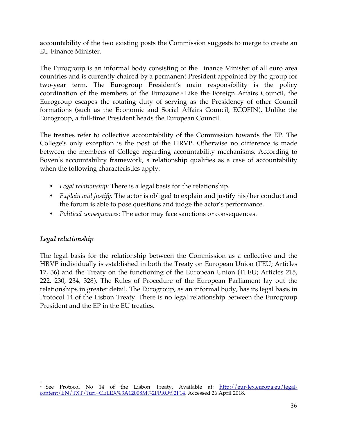accountability of the two existing posts the Commission suggests to merge to create an EU Finance Minister.

The Eurogroup is an informal body consisting of the Finance Minister of all euro area countries and is currently chaired by a permanent President appointed by the group for two-year term. The Eurogroup President's main responsibility is the policy coordination of the members of the Eurozone.<sup>\*</sup> Like the Foreign Affairs Council, the Eurogroup escapes the rotating duty of serving as the Presidency of other Council formations (such as the Economic and Social Affairs Council, ECOFIN). Unlike the Eurogroup, a full-time President heads the European Council.

The treaties refer to collective accountability of the Commission towards the EP. The College's only exception is the post of the HRVP. Otherwise no difference is made between the members of College regarding accountability mechanisms. According to Boven's accountability framework, a relationship qualifies as a case of accountability when the following characteristics apply:

- *Legal relationship:* There is a legal basis for the relationship.
- *Explain and justify:* The actor is obliged to explain and justify his/her conduct and the forum is able to pose questions and judge the actor's performance.
- *Political consequences:* The actor may face sanctions or consequences.

# *Legal relationship*

The legal basis for the relationship between the Commission as a collective and the HRVP individually is established in both the Treaty on European Union (TEU; Articles 17, 36) and the Treaty on the functioning of the European Union (TFEU; Articles 215, 222, 230, 234, 328). The Rules of Procedure of the European Parliament lay out the relationships in greater detail. The Eurogroup, as an informal body, has its legal basis in Protocol 14 of the Lisbon Treaty. There is no legal relationship between the Eurogroup President and the EP in the EU treaties.

 <sup>\*</sup> See Protocol No 14 of the Lisbon Treaty, Available at: <u>http://eur-lex.europa.eu/legal-</u> content/EN/TXT/?uri=CELEX%3A12008M%2FPRO%2F14, Accessed 26 April 2018.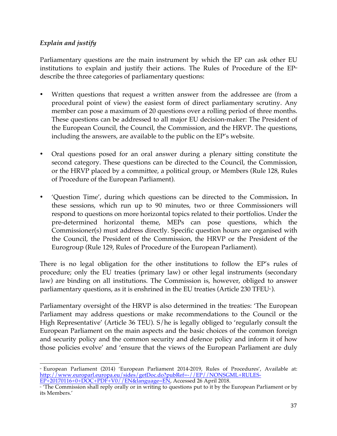# *Explain and justify*

Parliamentary questions are the main instrument by which the EP can ask other EU institutions to explain and justify their actions. The Rules of Procedure of the  $EP^{\omega}$ describe the three categories of parliamentary questions:

- Written questions that request a written answer from the addressee are (from a procedural point of view) the easiest form of direct parliamentary scrutiny. Any member can pose a maximum of 20 questions over a rolling period of three months. These questions can be addressed to all major EU decision-maker: The President of the European Council, the Council, the Commission, and the HRVP. The questions, including the answers, are available to the public on the EP's website.
- Oral questions posed for an oral answer during a plenary sitting constitute the second category. These questions can be directed to the Council, the Commission, or the HRVP placed by a committee, a political group, or Members (Rule 128, Rules of Procedure of the European Parliament).
- 'Question Time', during which questions can be directed to the Commission**.** In these sessions, which run up to 90 minutes, two or three Commissioners will respond to questions on more horizontal topics related to their portfolios. Under the pre-determined horizontal theme, MEPs can pose questions, which the Commissioner(s) must address directly. Specific question hours are organised with the Council, the President of the Commission, the HRVP or the President of the Eurogroup (Rule 129, Rules of Procedure of the European Parliament).

There is no legal obligation for the other institutions to follow the EP's rules of procedure; only the EU treaties (primary law) or other legal instruments (secondary law) are binding on all institutions. The Commission is, however, obliged to answer parliamentary questions, as it is enshrined in the EU treaties (Article 230 TFEU $\mathrm{s}$ ).

Parliamentary oversight of the HRVP is also determined in the treaties: 'The European Parliament may address questions or make recommendations to the Council or the High Representative' (Article 36 TEU). S/he is legally obliged to 'regularly consult the European Parliament on the main aspects and the basic choices of the common foreign and security policy and the common security and defence policy and inform it of how those policies evolve' and 'ensure that the views of the European Parliament are duly

<sup>&</sup>lt;u> 1989 - Johann Stein, marwolaethau a bh</u> <sup>80</sup> European Parliament (2014) 'European Parliament 2014-2019, Rules of Procedures', Available at: http://www.europarl.europa.eu/sides/getDoc.do?pubRef=-//EP//NONSGML+RULES-EP+20170116+0+DOC+PDF+V0//EN&language=EN, Accessed 26 April 2018.

If the Commission shall reply orally or in writing to questions put to it by the European Parliament or by  $\eta$ its Members.'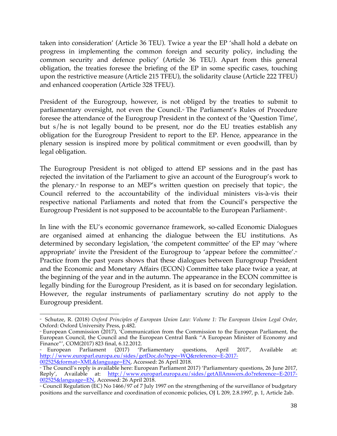taken into consideration' (Article 36 TEU). Twice a year the EP 'shall hold a debate on progress in implementing the common foreign and security policy, including the common security and defence policy' (Article 36 TEU). Apart from this general obligation, the treaties foresee the briefing of the EP in some specific cases, touching upon the restrictive measure (Article 215 TFEU), the solidarity clause (Article 222 TFEU) and enhanced cooperation (Article 328 TFEU).

President of the Eurogroup, however, is not obliged by the treaties to submit to parliamentary oversight, not even the Council.<sup>®</sup> The Parliament's Rules of Procedure foresee the attendance of the Eurogroup President in the context of the 'Question Time', but s/he is not legally bound to be present, nor do the EU treaties establish any obligation for the Eurogroup President to report to the EP. Hence, appearance in the plenary session is inspired more by political commitment or even goodwill, than by legal obligation.

The Eurogroup President is not obliged to attend EP sessions and in the past has rejected the invitation of the Parliament to give an account of the Eurogroup's work to the plenary.<sup>8</sup> In response to an MEP's written question on precisely that topic<sup> $\alpha$ </sup>, the Council referred to the accountability of the individual ministers vis-à-vis their respective national Parliaments and noted that from the Council's perspective the Eurogroup President is not supposed to be accountable to the European Parliament<sup>®</sup>.

In line with the EU's economic governance framework, so-called Economic Dialogues are organised aimed at enhancing the dialogue between the EU institutions. As determined by secondary legislation, 'the competent committee' of the EP may 'where appropriate' invite the President of the Eurogroup to 'appear before the committee'.<sub>®</sub> Practice from the past years shows that these dialogues between Eurogroup President and the Economic and Monetary Affairs (ECON) Committee take place twice a year, at the beginning of the year and in the autumn. The appearance in the ECON committee is legally binding for the Eurogroup President, as it is based on for secondary legislation. However, the regular instruments of parliamentary scrutiny do not apply to the Eurogroup president.

 <sup>82</sup> Schutze, R. (2018) *Oxford Principles of European Union Law: Volume 1: The European Union Legal Order*, Oxford: Oxford University Press, p.482.

<sup>83</sup> European Commission (2017), 'Communication from the Commission to the European Parliament, the European Council, the Council and the European Central Bank "A European Minister of Economy and Finance"', COM(2017) 823 final, 6.12.2012.<br>
"European Parliament (2017) 'P

<sup>84</sup> European Parliament (2017) 'Parliamentary questions, April 2017', Available at: http://www.europarl.europa.eu/sides/getDoc.do?type=WQ&reference=E-2017- 002525&format=XML&language=EN, Accessed: 26 April 2018.

<sup>85</sup> The Council's reply is available here: European Parliament 2017) 'Parliamentary questions, 26 June 2017, Reply', Available at: http://www.europarl.europa.eu/sides/getAllAnswers.do?reference=E-2017-002525&language=EN, Accessed: 26 April 2018.

<sup>86</sup> Council Regulation (EC) No 1466/97 of 7 July 1997 on the strengthening of the surveillance of budgetary positions and the surveillance and coordination of economic policies, OJ L 209, 2.8.1997, p. 1, Article 2ab.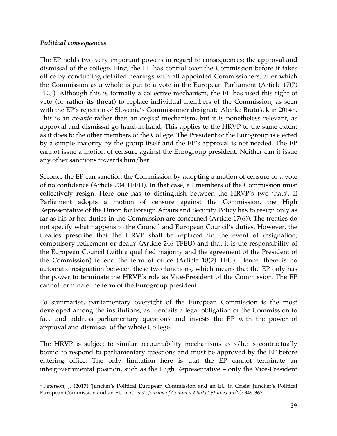# *Political consequences*

The EP holds two very important powers in regard to consequences: the approval and dismissal of the college. First, the EP has control over the Commission before it takes office by conducting detailed hearings with all appointed Commissioners, after which the Commission as a whole is put to a vote in the European Parliament (Article 17(7) TEU). Although this is formally a collective mechanism, the EP has used this right of veto (or rather its threat) to replace individual members of the Commission, as seen with the EP's rejection of Slovenia's Commissioner designate Alenka Bratušek in 2014 v. This is an *ex-ante* rather than an *ex-post* mechanism, but it is nonetheless relevant, as approval and dismissal go hand-in-hand. This applies to the HRVP to the same extent as it does to the other members of the College. The President of the Eurogroup is elected by a simple majority by the group itself and the EP's approval is not needed. The EP cannot issue a motion of censure against the Eurogroup president. Neither can it issue any other sanctions towards him/her.

Second, the EP can sanction the Commission by adopting a motion of censure or a vote of no confidence (Article 234 TFEU). In that case, all members of the Commission must collectively resign. Here one has to distinguish between the HRVP's two 'hats'. If Parliament adopts a motion of censure against the Commission, the High Representative of the Union for Foreign Affairs and Security Policy has to resign only as far as his or her duties in the Commission are concerned (Article 17(6)). The treaties do not specify what happens to the Council and European Council's duties. However, the treaties prescribe that the HRVP shall be replaced 'in the event of resignation, compulsory retirement or death' (Article 246 TFEU) and that it is the responsibility of the European Council (with a qualified majority and the agreement of the President of the Commission) to end the term of office (Article 18(2) TEU). Hence, there is no automatic resignation between these two functions, which means that the EP only has the power to terminate the HRVP's role as Vice-President of the Commission. The EP cannot terminate the term of the Eurogroup president.

To summarise, parliamentary oversight of the European Commission is the most developed among the institutions, as it entails a legal obligation of the Commission to face and address parliamentary questions and invests the EP with the power of approval and dismissal of the whole College.

The HRVP is subject to similar accountability mechanisms as s/he is contractually bound to respond to parliamentary questions and must be approved by the EP before entering office. The only limitation here is that the EP cannot terminate an intergovernmental position, such as the High Representative – only the Vice-President

 <sup>87</sup> Peterson, J. (2017) 'Juncker's Political European Commission and an EU in Crisis: Juncker's Political European Commission and an EU in Crisis', *Journal of Common Market Studies* 55 (2): 349-367.